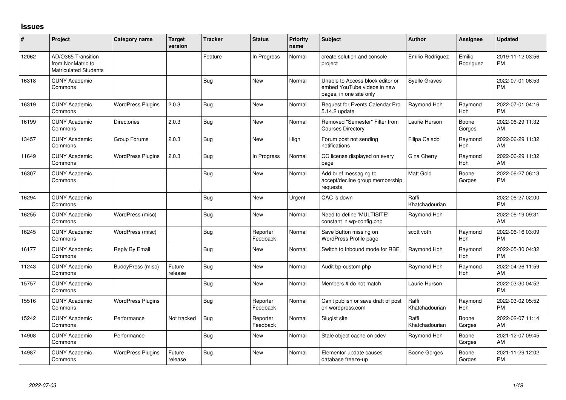## **Issues**

| $\#$  | Project                                                                 | <b>Category name</b>     | <b>Target</b><br>version | <b>Tracker</b> | <b>Status</b>        | <b>Priority</b><br>name | <b>Subject</b>                                                                             | <b>Author</b>           | <b>Assignee</b>     | <b>Updated</b>                |
|-------|-------------------------------------------------------------------------|--------------------------|--------------------------|----------------|----------------------|-------------------------|--------------------------------------------------------------------------------------------|-------------------------|---------------------|-------------------------------|
| 12062 | AD/O365 Transition<br>from NonMatric to<br><b>Matriculated Students</b> |                          |                          | Feature        | In Progress          | Normal                  | create solution and console<br>project                                                     | Emilio Rodriguez        | Emilio<br>Rodriguez | 2019-11-12 03:56<br><b>PM</b> |
| 16318 | <b>CUNY Academic</b><br>Commons                                         |                          |                          | Bug            | <b>New</b>           | Normal                  | Unable to Access block editor or<br>embed YouTube videos in new<br>pages, in one site only | <b>Syelle Graves</b>    |                     | 2022-07-01 06:53<br><b>PM</b> |
| 16319 | <b>CUNY Academic</b><br>Commons                                         | <b>WordPress Plugins</b> | 2.0.3                    | Bug            | New                  | Normal                  | Request for Events Calendar Pro<br>5.14.2 update                                           | Raymond Hoh             | Raymond<br>Hoh      | 2022-07-01 04:16<br><b>PM</b> |
| 16199 | <b>CUNY Academic</b><br>Commons                                         | <b>Directories</b>       | 2.0.3                    | Bug            | New                  | Normal                  | Removed "Semester" Filter from<br><b>Courses Directory</b>                                 | Laurie Hurson           | Boone<br>Gorges     | 2022-06-29 11:32<br>AM        |
| 13457 | <b>CUNY Academic</b><br>Commons                                         | Group Forums             | 2.0.3                    | Bug            | <b>New</b>           | High                    | Forum post not sending<br>notifications                                                    | Filipa Calado           | Raymond<br>Hoh      | 2022-06-29 11:32<br>AM        |
| 11649 | <b>CUNY Academic</b><br>Commons                                         | <b>WordPress Plugins</b> | 2.0.3                    | Bug            | In Progress          | Normal                  | CC license displayed on every<br>page                                                      | Gina Cherry             | Raymond<br>Hoh      | 2022-06-29 11:32<br>AM        |
| 16307 | <b>CUNY Academic</b><br>Commons                                         |                          |                          | <b>Bug</b>     | <b>New</b>           | Normal                  | Add brief messaging to<br>accept/decline group membership<br>requests                      | Matt Gold               | Boone<br>Gorges     | 2022-06-27 06:13<br><b>PM</b> |
| 16294 | <b>CUNY Academic</b><br>Commons                                         |                          |                          | Bug            | New                  | Urgent                  | CAC is down                                                                                | Raffi<br>Khatchadourian |                     | 2022-06-27 02:00<br><b>PM</b> |
| 16255 | <b>CUNY Academic</b><br>Commons                                         | WordPress (misc)         |                          | Bug            | New                  | Normal                  | Need to define 'MULTISITE'<br>constant in wp-config.php                                    | Raymond Hoh             |                     | 2022-06-19 09:31<br>AM        |
| 16245 | <b>CUNY Academic</b><br>Commons                                         | WordPress (misc)         |                          | Bug            | Reporter<br>Feedback | Normal                  | Save Button missing on<br>WordPress Profile page                                           | scott voth              | Raymond<br>Hoh      | 2022-06-16 03:09<br><b>PM</b> |
| 16177 | <b>CUNY Academic</b><br>Commons                                         | Reply By Email           |                          | Bug            | New                  | Normal                  | Switch to Inbound mode for RBE                                                             | Raymond Hoh             | Raymond<br>Hoh      | 2022-05-30 04:32<br><b>PM</b> |
| 11243 | <b>CUNY Academic</b><br>Commons                                         | BuddyPress (misc)        | Future<br>release        | Bug            | <b>New</b>           | Normal                  | Audit bp-custom.php                                                                        | Raymond Hoh             | Raymond<br>Hoh      | 2022-04-26 11:59<br>AM        |
| 15757 | <b>CUNY Academic</b><br>Commons                                         |                          |                          | Bug            | <b>New</b>           | Normal                  | Members # do not match                                                                     | Laurie Hurson           |                     | 2022-03-30 04:52<br><b>PM</b> |
| 15516 | <b>CUNY Academic</b><br>Commons                                         | <b>WordPress Plugins</b> |                          | Bug            | Reporter<br>Feedback | Normal                  | Can't publish or save draft of post<br>on wordpress.com                                    | Raffi<br>Khatchadourian | Raymond<br>Hoh      | 2022-03-02 05:52<br><b>PM</b> |
| 15242 | <b>CUNY Academic</b><br>Commons                                         | Performance              | Not tracked              | Bug            | Reporter<br>Feedback | Normal                  | Slugist site                                                                               | Raffi<br>Khatchadourian | Boone<br>Gorges     | 2022-02-07 11:14<br>AM        |
| 14908 | <b>CUNY Academic</b><br>Commons                                         | Performance              |                          | Bug            | New                  | Normal                  | Stale object cache on cdev                                                                 | Raymond Hoh             | Boone<br>Gorges     | 2021-12-07 09:45<br>AM        |
| 14987 | <b>CUNY Academic</b><br>Commons                                         | <b>WordPress Plugins</b> | Future<br>release        | Bug            | New                  | Normal                  | Elementor update causes<br>database freeze-up                                              | Boone Gorges            | Boone<br>Gorges     | 2021-11-29 12:02<br><b>PM</b> |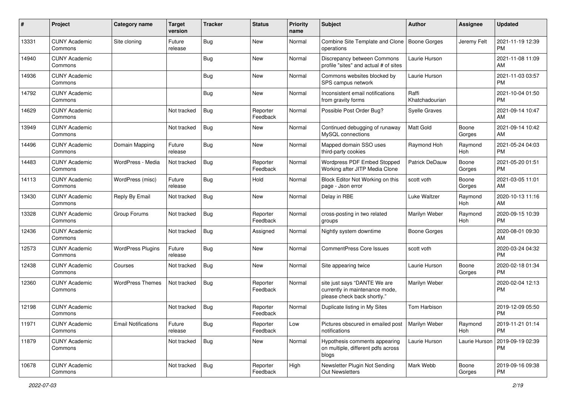| #     | Project                         | Category name              | <b>Target</b><br>version | <b>Tracker</b> | <b>Status</b>        | Priority<br>name | <b>Subject</b>                                                                                | Author                  | <b>Assignee</b> | <b>Updated</b>                |
|-------|---------------------------------|----------------------------|--------------------------|----------------|----------------------|------------------|-----------------------------------------------------------------------------------------------|-------------------------|-----------------|-------------------------------|
| 13331 | <b>CUNY Academic</b><br>Commons | Site cloning               | Future<br>release        | <b>Bug</b>     | <b>New</b>           | Normal           | Combine Site Template and Clone<br>operations                                                 | Boone Gorges            | Jeremy Felt     | 2021-11-19 12:39<br><b>PM</b> |
| 14940 | <b>CUNY Academic</b><br>Commons |                            |                          | Bug            | New                  | Normal           | Discrepancy between Commons<br>profile "sites" and actual # of sites                          | Laurie Hurson           |                 | 2021-11-08 11:09<br>AM        |
| 14936 | <b>CUNY Academic</b><br>Commons |                            |                          | <b>Bug</b>     | <b>New</b>           | Normal           | Commons websites blocked by<br>SPS campus network                                             | Laurie Hurson           |                 | 2021-11-03 03:57<br><b>PM</b> |
| 14792 | <b>CUNY Academic</b><br>Commons |                            |                          | Bug            | <b>New</b>           | Normal           | Inconsistent email notifications<br>from gravity forms                                        | Raffi<br>Khatchadourian |                 | 2021-10-04 01:50<br><b>PM</b> |
| 14629 | <b>CUNY Academic</b><br>Commons |                            | Not tracked              | Bug            | Reporter<br>Feedback | Normal           | Possible Post Order Bug?                                                                      | <b>Syelle Graves</b>    |                 | 2021-09-14 10:47<br>AM        |
| 13949 | <b>CUNY Academic</b><br>Commons |                            | Not tracked              | Bug            | New                  | Normal           | Continued debugging of runaway<br>MySQL connections                                           | <b>Matt Gold</b>        | Boone<br>Gorges | 2021-09-14 10:42<br>AM        |
| 14496 | <b>CUNY Academic</b><br>Commons | Domain Mapping             | Future<br>release        | Bug            | <b>New</b>           | Normal           | Mapped domain SSO uses<br>third-party cookies                                                 | Raymond Hoh             | Raymond<br>Hoh  | 2021-05-24 04:03<br><b>PM</b> |
| 14483 | <b>CUNY Academic</b><br>Commons | WordPress - Media          | Not tracked              | <b>Bug</b>     | Reporter<br>Feedback | Normal           | <b>Wordpress PDF Embed Stopped</b><br>Working after JITP Media Clone                          | <b>Patrick DeDauw</b>   | Boone<br>Gorges | 2021-05-20 01:51<br><b>PM</b> |
| 14113 | <b>CUNY Academic</b><br>Commons | WordPress (misc)           | Future<br>release        | Bug            | Hold                 | Normal           | Block Editor Not Working on this<br>page - Json error                                         | scott voth              | Boone<br>Gorges | 2021-03-05 11:01<br>AM        |
| 13430 | <b>CUNY Academic</b><br>Commons | Reply By Email             | Not tracked              | Bug            | <b>New</b>           | Normal           | Delay in RBE                                                                                  | Luke Waltzer            | Raymond<br>Hoh  | 2020-10-13 11:16<br>AM        |
| 13328 | <b>CUNY Academic</b><br>Commons | Group Forums               | Not tracked              | Bug            | Reporter<br>Feedback | Normal           | cross-posting in two related<br>groups                                                        | Marilyn Weber           | Raymond<br>Hoh  | 2020-09-15 10:39<br><b>PM</b> |
| 12436 | <b>CUNY Academic</b><br>Commons |                            | Not tracked              | Bug            | Assigned             | Normal           | Nightly system downtime                                                                       | Boone Gorges            |                 | 2020-08-01 09:30<br>AM        |
| 12573 | <b>CUNY Academic</b><br>Commons | <b>WordPress Plugins</b>   | Future<br>release        | Bug            | New                  | Normal           | <b>CommentPress Core Issues</b>                                                               | scott voth              |                 | 2020-03-24 04:32<br><b>PM</b> |
| 12438 | <b>CUNY Academic</b><br>Commons | Courses                    | Not tracked              | Bug            | <b>New</b>           | Normal           | Site appearing twice                                                                          | Laurie Hurson           | Boone<br>Gorges | 2020-02-18 01:34<br><b>PM</b> |
| 12360 | <b>CUNY Academic</b><br>Commons | <b>WordPress Themes</b>    | Not tracked              | Bug            | Reporter<br>Feedback | Normal           | site just says "DANTE We are<br>currently in maintenance mode,<br>please check back shortly." | Marilyn Weber           |                 | 2020-02-04 12:13<br><b>PM</b> |
| 12198 | <b>CUNY Academic</b><br>Commons |                            | Not tracked              | Bug            | Reporter<br>Feedback | Normal           | Duplicate listing in My Sites                                                                 | Tom Harbison            |                 | 2019-12-09 05:50<br><b>PM</b> |
| 11971 | <b>CUNY Academic</b><br>Commons | <b>Email Notifications</b> | Future<br>release        | Bug            | Reporter<br>Feedback | Low              | Pictures obscured in emailed post   Marilyn Weber<br>notifications                            |                         | Raymond<br>Hoh  | 2019-11-21 01:14<br><b>PM</b> |
| 11879 | <b>CUNY Academic</b><br>Commons |                            | Not tracked              | Bug            | New                  | Normal           | Hypothesis comments appearing<br>on multiple, different pdfs across<br>blogs                  | Laurie Hurson           | Laurie Hurson   | 2019-09-19 02:39<br><b>PM</b> |
| 10678 | <b>CUNY Academic</b><br>Commons |                            | Not tracked              | Bug            | Reporter<br>Feedback | High             | Newsletter Plugin Not Sending<br>Out Newsletters                                              | Mark Webb               | Boone<br>Gorges | 2019-09-16 09:38<br><b>PM</b> |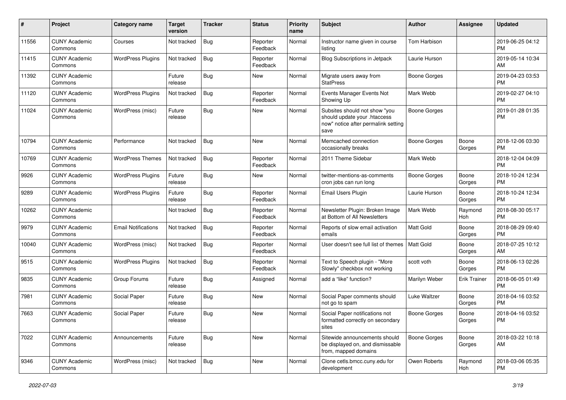| #     | Project                         | <b>Category name</b>       | <b>Target</b><br>version | Tracker    | <b>Status</b>        | Priority<br>name | <b>Subject</b>                                                                                               | <b>Author</b>       | <b>Assignee</b>     | <b>Updated</b>                |
|-------|---------------------------------|----------------------------|--------------------------|------------|----------------------|------------------|--------------------------------------------------------------------------------------------------------------|---------------------|---------------------|-------------------------------|
| 11556 | <b>CUNY Academic</b><br>Commons | Courses                    | Not tracked              | Bug        | Reporter<br>Feedback | Normal           | Instructor name given in course<br>listing                                                                   | <b>Tom Harbison</b> |                     | 2019-06-25 04:12<br>PM        |
| 11415 | <b>CUNY Academic</b><br>Commons | <b>WordPress Plugins</b>   | Not tracked              | Bug        | Reporter<br>Feedback | Normal           | <b>Blog Subscriptions in Jetpack</b>                                                                         | Laurie Hurson       |                     | 2019-05-14 10:34<br>AM        |
| 11392 | <b>CUNY Academic</b><br>Commons |                            | Future<br>release        | Bug        | <b>New</b>           | Normal           | Migrate users away from<br><b>StatPress</b>                                                                  | <b>Boone Gorges</b> |                     | 2019-04-23 03:53<br><b>PM</b> |
| 11120 | <b>CUNY Academic</b><br>Commons | <b>WordPress Plugins</b>   | Not tracked              | Bug        | Reporter<br>Feedback | Normal           | Events Manager Events Not<br>Showing Up                                                                      | Mark Webb           |                     | 2019-02-27 04:10<br><b>PM</b> |
| 11024 | <b>CUNY Academic</b><br>Commons | WordPress (misc)           | Future<br>release        | <b>Bug</b> | New                  | Normal           | Subsites should not show "you<br>should update your .htaccess<br>now" notice after permalink setting<br>save | <b>Boone Gorges</b> |                     | 2019-01-28 01:35<br><b>PM</b> |
| 10794 | <b>CUNY Academic</b><br>Commons | Performance                | Not tracked              | Bug        | <b>New</b>           | Normal           | Memcached connection<br>occasionally breaks                                                                  | <b>Boone Gorges</b> | Boone<br>Gorges     | 2018-12-06 03:30<br><b>PM</b> |
| 10769 | <b>CUNY Academic</b><br>Commons | <b>WordPress Themes</b>    | Not tracked              | Bug        | Reporter<br>Feedback | Normal           | 2011 Theme Sidebar                                                                                           | Mark Webb           |                     | 2018-12-04 04:09<br><b>PM</b> |
| 9926  | <b>CUNY Academic</b><br>Commons | <b>WordPress Plugins</b>   | Future<br>release        | Bug        | New                  | Normal           | twitter-mentions-as-comments<br>cron jobs can run long                                                       | <b>Boone Gorges</b> | Boone<br>Gorges     | 2018-10-24 12:34<br><b>PM</b> |
| 9289  | <b>CUNY Academic</b><br>Commons | <b>WordPress Plugins</b>   | Future<br>release        | Bug        | Reporter<br>Feedback | Normal           | Email Users Plugin                                                                                           | Laurie Hurson       | Boone<br>Gorges     | 2018-10-24 12:34<br><b>PM</b> |
| 10262 | <b>CUNY Academic</b><br>Commons |                            | Not tracked              | Bug        | Reporter<br>Feedback | Normal           | Newsletter Plugin: Broken Image<br>at Bottom of All Newsletters                                              | Mark Webb           | Raymond<br>Hoh      | 2018-08-30 05:17<br><b>PM</b> |
| 9979  | <b>CUNY Academic</b><br>Commons | <b>Email Notifications</b> | Not tracked              | <b>Bug</b> | Reporter<br>Feedback | Normal           | Reports of slow email activation<br>emails                                                                   | Matt Gold           | Boone<br>Gorges     | 2018-08-29 09:40<br><b>PM</b> |
| 10040 | <b>CUNY Academic</b><br>Commons | WordPress (misc)           | Not tracked              | Bug        | Reporter<br>Feedback | Normal           | User doesn't see full list of themes                                                                         | Matt Gold           | Boone<br>Gorges     | 2018-07-25 10:12<br>AM        |
| 9515  | <b>CUNY Academic</b><br>Commons | <b>WordPress Plugins</b>   | Not tracked              | Bug        | Reporter<br>Feedback | Normal           | Text to Speech plugin - "More<br>Slowly" checkbox not working                                                | scott voth          | Boone<br>Gorges     | 2018-06-13 02:26<br><b>PM</b> |
| 9835  | <b>CUNY Academic</b><br>Commons | Group Forums               | Future<br>release        | <b>Bug</b> | Assigned             | Normal           | add a "like" function?                                                                                       | Marilyn Weber       | <b>Erik Trainer</b> | 2018-06-05 01:49<br><b>PM</b> |
| 7981  | <b>CUNY Academic</b><br>Commons | Social Paper               | Future<br>release        | Bug        | New                  | Normal           | Social Paper comments should<br>not go to spam                                                               | Luke Waltzer        | Boone<br>Gorges     | 2018-04-16 03:52<br><b>PM</b> |
| 7663  | <b>CUNY Academic</b><br>Commons | Social Paper               | Future<br>release        | Bug        | <b>New</b>           | Normal           | Social Paper notifications not<br>formatted correctly on secondary<br>sites                                  | <b>Boone Gorges</b> | Boone<br>Gorges     | 2018-04-16 03:52<br>PM        |
| 7022  | <b>CUNY Academic</b><br>Commons | Announcements              | Future<br>release        | Bug        | New                  | Normal           | Sitewide announcements should<br>be displayed on, and dismissable<br>from, mapped domains                    | <b>Boone Gorges</b> | Boone<br>Gorges     | 2018-03-22 10:18<br>AM        |
| 9346  | <b>CUNY Academic</b><br>Commons | WordPress (misc)           | Not tracked              | <b>Bug</b> | New                  | Normal           | Clone cetls.bmcc.cuny.edu for<br>development                                                                 | Owen Roberts        | Raymond<br>Hoh      | 2018-03-06 05:35<br><b>PM</b> |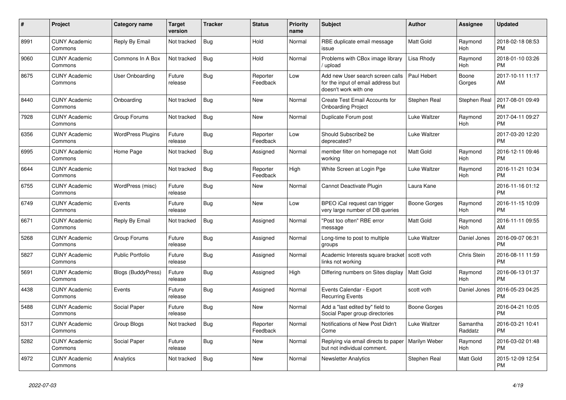| #    | <b>Project</b>                  | Category name             | <b>Target</b><br>version | <b>Tracker</b> | <b>Status</b>        | <b>Priority</b><br>name | <b>Subject</b>                                                                                  | <b>Author</b>       | Assignee            | <b>Updated</b>                |
|------|---------------------------------|---------------------------|--------------------------|----------------|----------------------|-------------------------|-------------------------------------------------------------------------------------------------|---------------------|---------------------|-------------------------------|
| 8991 | <b>CUNY Academic</b><br>Commons | Reply By Email            | Not tracked              | <b>Bug</b>     | Hold                 | Normal                  | RBE duplicate email message<br>issue                                                            | <b>Matt Gold</b>    | Raymond<br>Hoh      | 2018-02-18 08:53<br><b>PM</b> |
| 9060 | <b>CUNY Academic</b><br>Commons | Commons In A Box          | Not tracked              | <b>Bug</b>     | Hold                 | Normal                  | Problems with CBox image library<br>upload                                                      | Lisa Rhody          | Raymond<br>Hoh      | 2018-01-10 03:26<br><b>PM</b> |
| 8675 | <b>CUNY Academic</b><br>Commons | <b>User Onboarding</b>    | Future<br>release        | Bug            | Reporter<br>Feedback | Low                     | Add new User search screen calls<br>for the input of email address but<br>doesn't work with one | Paul Hebert         | Boone<br>Gorges     | 2017-10-11 11:17<br>AM        |
| 8440 | <b>CUNY Academic</b><br>Commons | Onboarding                | Not tracked              | Bug            | <b>New</b>           | Normal                  | Create Test Email Accounts for<br><b>Onboarding Project</b>                                     | Stephen Real        | Stephen Real        | 2017-08-01 09:49<br><b>PM</b> |
| 7928 | <b>CUNY Academic</b><br>Commons | Group Forums              | Not tracked              | Bug            | New                  | Normal                  | Duplicate Forum post                                                                            | Luke Waltzer        | Raymond<br>Hoh      | 2017-04-11 09:27<br><b>PM</b> |
| 6356 | <b>CUNY Academic</b><br>Commons | <b>WordPress Plugins</b>  | Future<br>release        | <b>Bug</b>     | Reporter<br>Feedback | Low                     | Should Subscribe2 be<br>deprecated?                                                             | Luke Waltzer        |                     | 2017-03-20 12:20<br><b>PM</b> |
| 6995 | <b>CUNY Academic</b><br>Commons | Home Page                 | Not tracked              | Bug            | Assigned             | Normal                  | member filter on homepage not<br>working                                                        | <b>Matt Gold</b>    | Raymond<br>Hoh      | 2016-12-11 09:46<br><b>PM</b> |
| 6644 | <b>CUNY Academic</b><br>Commons |                           | Not tracked              | <b>Bug</b>     | Reporter<br>Feedback | High                    | White Screen at Login Pge                                                                       | Luke Waltzer        | Raymond<br>Hoh      | 2016-11-21 10:34<br><b>PM</b> |
| 6755 | <b>CUNY Academic</b><br>Commons | WordPress (misc)          | Future<br>release        | Bug            | New                  | Normal                  | Cannot Deactivate Plugin                                                                        | Laura Kane          |                     | 2016-11-16 01:12<br><b>PM</b> |
| 6749 | <b>CUNY Academic</b><br>Commons | Events                    | Future<br>release        | <b>Bug</b>     | <b>New</b>           | Low                     | BPEO iCal request can trigger<br>very large number of DB queries                                | Boone Gorges        | Raymond<br>Hoh      | 2016-11-15 10:09<br><b>PM</b> |
| 6671 | <b>CUNY Academic</b><br>Commons | Reply By Email            | Not tracked              | Bug            | Assigned             | Normal                  | "Post too often" RBE error<br>message                                                           | Matt Gold           | Raymond<br>Hoh      | 2016-11-11 09:55<br>AM        |
| 5268 | <b>CUNY Academic</b><br>Commons | Group Forums              | Future<br>release        | Bug            | Assigned             | Normal                  | Long-time to post to multiple<br>groups                                                         | Luke Waltzer        | Daniel Jones        | 2016-09-07 06:31<br><b>PM</b> |
| 5827 | <b>CUNY Academic</b><br>Commons | Public Portfolio          | Future<br>release        | Bug            | Assigned             | Normal                  | Academic Interests square bracket<br>links not working                                          | scott voth          | Chris Stein         | 2016-08-11 11:59<br><b>PM</b> |
| 5691 | <b>CUNY Academic</b><br>Commons | <b>Blogs (BuddyPress)</b> | Future<br>release        | Bug            | Assigned             | High                    | Differing numbers on Sites display                                                              | <b>Matt Gold</b>    | Raymond<br>Hoh      | 2016-06-13 01:37<br><b>PM</b> |
| 4438 | <b>CUNY Academic</b><br>Commons | Events                    | Future<br>release        | Bug            | Assigned             | Normal                  | Events Calendar - Export<br><b>Recurring Events</b>                                             | scott voth          | Daniel Jones        | 2016-05-23 04:25<br><b>PM</b> |
| 5488 | <b>CUNY Academic</b><br>Commons | Social Paper              | Future<br>release        | Bug            | New                  | Normal                  | Add a "last edited by" field to<br>Social Paper group directories                               | <b>Boone Gorges</b> |                     | 2016-04-21 10:05<br><b>PM</b> |
| 5317 | <b>CUNY Academic</b><br>Commons | <b>Group Blogs</b>        | Not tracked              | Bug            | Reporter<br>Feedback | Normal                  | Notifications of New Post Didn't<br>Come                                                        | Luke Waltzer        | Samantha<br>Raddatz | 2016-03-21 10:41<br><b>PM</b> |
| 5282 | <b>CUNY Academic</b><br>Commons | Social Paper              | Future<br>release        | <b>Bug</b>     | New                  | Normal                  | Replying via email directs to paper<br>but not individual comment.                              | Marilyn Weber       | Raymond<br>Hoh      | 2016-03-02 01:48<br><b>PM</b> |
| 4972 | <b>CUNY Academic</b><br>Commons | Analytics                 | Not tracked              | Bug            | <b>New</b>           | Normal                  | <b>Newsletter Analytics</b>                                                                     | Stephen Real        | Matt Gold           | 2015-12-09 12:54<br><b>PM</b> |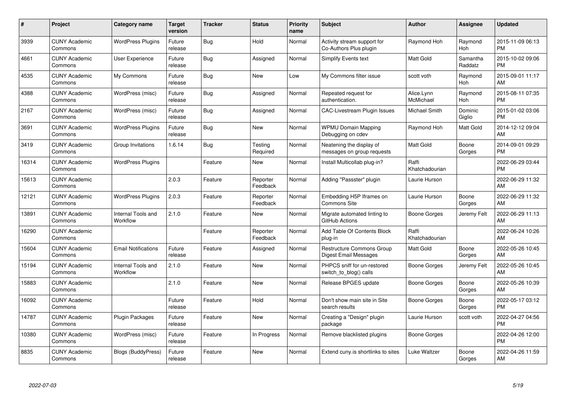| #     | <b>Project</b>                  | Category name                  | Target<br>version | <b>Tracker</b> | <b>Status</b>        | <b>Priority</b><br>name | <b>Subject</b>                                         | <b>Author</b>           | Assignee            | <b>Updated</b>                |
|-------|---------------------------------|--------------------------------|-------------------|----------------|----------------------|-------------------------|--------------------------------------------------------|-------------------------|---------------------|-------------------------------|
| 3939  | <b>CUNY Academic</b><br>Commons | <b>WordPress Plugins</b>       | Future<br>release | <b>Bug</b>     | Hold                 | Normal                  | Activity stream support for<br>Co-Authors Plus plugin  | Raymond Hoh             | Raymond<br>Hoh      | 2015-11-09 06:13<br><b>PM</b> |
| 4661  | <b>CUNY Academic</b><br>Commons | User Experience                | Future<br>release | Bug            | Assigned             | Normal                  | Simplify Events text                                   | Matt Gold               | Samantha<br>Raddatz | 2015-10-02 09:06<br><b>PM</b> |
| 4535  | <b>CUNY Academic</b><br>Commons | My Commons                     | Future<br>release | Bug            | <b>New</b>           | Low                     | My Commons filter issue                                | scott voth              | Raymond<br>Hoh      | 2015-09-01 11:17<br><b>AM</b> |
| 4388  | <b>CUNY Academic</b><br>Commons | WordPress (misc)               | Future<br>release | <b>Bug</b>     | Assigned             | Normal                  | Repeated request for<br>authentication.                | Alice.Lynn<br>McMichael | Raymond<br>Hoh      | 2015-08-11 07:35<br><b>PM</b> |
| 2167  | <b>CUNY Academic</b><br>Commons | WordPress (misc)               | Future<br>release | Bug            | Assigned             | Normal                  | CAC-Livestream Plugin Issues                           | <b>Michael Smith</b>    | Dominic<br>Giglio   | 2015-01-02 03:06<br><b>PM</b> |
| 3691  | <b>CUNY Academic</b><br>Commons | <b>WordPress Plugins</b>       | Future<br>release | Bug            | <b>New</b>           | Normal                  | <b>WPMU Domain Mapping</b><br>Debugging on cdev        | Raymond Hoh             | Matt Gold           | 2014-12-12 09:04<br>AM        |
| 3419  | <b>CUNY Academic</b><br>Commons | Group Invitations              | 1.6.14            | Bug            | Testing<br>Required  | Normal                  | Neatening the display of<br>messages on group requests | <b>Matt Gold</b>        | Boone<br>Gorges     | 2014-09-01 09:29<br><b>PM</b> |
| 16314 | <b>CUNY Academic</b><br>Commons | <b>WordPress Plugins</b>       |                   | Feature        | New                  | Normal                  | Install Multicollab plug-in?                           | Raffi<br>Khatchadourian |                     | 2022-06-29 03:44<br><b>PM</b> |
| 15613 | <b>CUNY Academic</b><br>Commons |                                | 2.0.3             | Feature        | Reporter<br>Feedback | Normal                  | Adding "Passster" plugin                               | Laurie Hurson           |                     | 2022-06-29 11:32<br>AM        |
| 12121 | <b>CUNY Academic</b><br>Commons | <b>WordPress Plugins</b>       | 2.0.3             | Feature        | Reporter<br>Feedback | Normal                  | Embedding H5P Iframes on<br><b>Commons Site</b>        | Laurie Hurson           | Boone<br>Gorges     | 2022-06-29 11:32<br>AM        |
| 13891 | <b>CUNY Academic</b><br>Commons | Internal Tools and<br>Workflow | 2.1.0             | Feature        | New                  | Normal                  | Migrate automated linting to<br>GitHub Actions         | Boone Gorges            | Jeremy Felt         | 2022-06-29 11:13<br>AM        |
| 16290 | <b>CUNY Academic</b><br>Commons |                                |                   | Feature        | Reporter<br>Feedback | Normal                  | Add Table Of Contents Block<br>plug-in                 | Raffi<br>Khatchadourian |                     | 2022-06-24 10:26<br>AM        |
| 15604 | <b>CUNY Academic</b><br>Commons | <b>Email Notifications</b>     | Future<br>release | Feature        | Assigned             | Normal                  | Restructure Commons Group<br>Digest Email Messages     | Matt Gold               | Boone<br>Gorges     | 2022-05-26 10:45<br>AM.       |
| 15194 | <b>CUNY Academic</b><br>Commons | Internal Tools and<br>Workflow | 2.1.0             | Feature        | <b>New</b>           | Normal                  | PHPCS sniff for un-restored<br>switch_to_blog() calls  | Boone Gorges            | Jeremy Felt         | 2022-05-26 10:45<br>AM.       |
| 15883 | <b>CUNY Academic</b><br>Commons |                                | 2.1.0             | Feature        | New                  | Normal                  | Release BPGES update                                   | Boone Gorges            | Boone<br>Gorges     | 2022-05-26 10:39<br><b>AM</b> |
| 16092 | <b>CUNY Academic</b><br>Commons |                                | Future<br>release | Feature        | Hold                 | Normal                  | Don't show main site in Site<br>search results         | Boone Gorges            | Boone<br>Gorges     | 2022-05-17 03:12<br><b>PM</b> |
| 14787 | <b>CUNY Academic</b><br>Commons | Plugin Packages                | Future<br>release | Feature        | New                  | Normal                  | Creating a "Design" plugin<br>package                  | Laurie Hurson           | scott voth          | 2022-04-27 04:56<br><b>PM</b> |
| 10380 | <b>CUNY Academic</b><br>Commons | WordPress (misc)               | Future<br>release | Feature        | In Progress          | Normal                  | Remove blacklisted plugins                             | Boone Gorges            |                     | 2022-04-26 12:00<br><b>PM</b> |
| 8835  | <b>CUNY Academic</b><br>Commons | Blogs (BuddyPress)             | Future<br>release | Feature        | <b>New</b>           | Normal                  | Extend cuny is shortlinks to sites                     | Luke Waltzer            | Boone<br>Gorges     | 2022-04-26 11:59<br>AM        |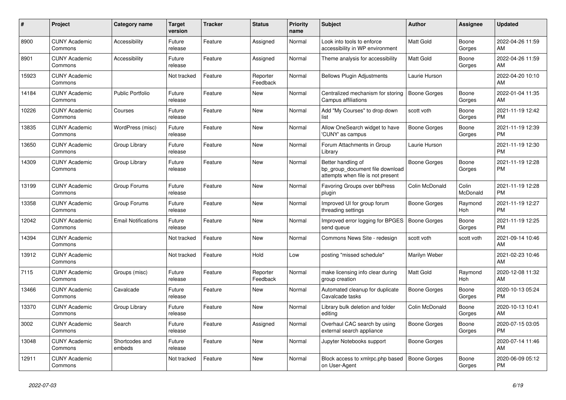| #     | <b>Project</b>                  | <b>Category name</b>       | <b>Target</b><br>version | <b>Tracker</b> | <b>Status</b>        | <b>Priority</b><br>name | <b>Subject</b>                                                                             | <b>Author</b>       | Assignee          | <b>Updated</b>                |
|-------|---------------------------------|----------------------------|--------------------------|----------------|----------------------|-------------------------|--------------------------------------------------------------------------------------------|---------------------|-------------------|-------------------------------|
| 8900  | <b>CUNY Academic</b><br>Commons | Accessibility              | Future<br>release        | Feature        | Assigned             | Normal                  | Look into tools to enforce<br>accessibility in WP environment                              | <b>Matt Gold</b>    | Boone<br>Gorges   | 2022-04-26 11:59<br>AM        |
| 8901  | <b>CUNY Academic</b><br>Commons | Accessibility              | Future<br>release        | Feature        | Assigned             | Normal                  | Theme analysis for accessibility                                                           | <b>Matt Gold</b>    | Boone<br>Gorges   | 2022-04-26 11:59<br>AM.       |
| 15923 | <b>CUNY Academic</b><br>Commons |                            | Not tracked              | Feature        | Reporter<br>Feedback | Normal                  | <b>Bellows Plugin Adjustments</b>                                                          | Laurie Hurson       |                   | 2022-04-20 10:10<br>AM        |
| 14184 | <b>CUNY Academic</b><br>Commons | <b>Public Portfolio</b>    | Future<br>release        | Feature        | New                  | Normal                  | Centralized mechanism for storing<br>Campus affiliations                                   | <b>Boone Gorges</b> | Boone<br>Gorges   | 2022-01-04 11:35<br><b>AM</b> |
| 10226 | <b>CUNY Academic</b><br>Commons | Courses                    | Future<br>release        | Feature        | New                  | Normal                  | Add "My Courses" to drop down<br>list                                                      | scott voth          | Boone<br>Gorges   | 2021-11-19 12:42<br>PM.       |
| 13835 | <b>CUNY Academic</b><br>Commons | WordPress (misc)           | Future<br>release        | Feature        | New                  | Normal                  | Allow OneSearch widget to have<br>'CUNY' as campus                                         | Boone Gorges        | Boone<br>Gorges   | 2021-11-19 12:39<br><b>PM</b> |
| 13650 | <b>CUNY Academic</b><br>Commons | Group Library              | Future<br>release        | Feature        | New                  | Normal                  | Forum Attachments in Group<br>Library                                                      | Laurie Hurson       |                   | 2021-11-19 12:30<br><b>PM</b> |
| 14309 | <b>CUNY Academic</b><br>Commons | Group Library              | Future<br>release        | Feature        | <b>New</b>           | Normal                  | Better handling of<br>bp group document file download<br>attempts when file is not present | <b>Boone Gorges</b> | Boone<br>Gorges   | 2021-11-19 12:28<br>PM        |
| 13199 | <b>CUNY Academic</b><br>Commons | Group Forums               | Future<br>release        | Feature        | <b>New</b>           | Normal                  | Favoring Groups over bbPress<br>plugin                                                     | Colin McDonald      | Colin<br>McDonald | 2021-11-19 12:28<br><b>PM</b> |
| 13358 | <b>CUNY Academic</b><br>Commons | Group Forums               | Future<br>release        | Feature        | <b>New</b>           | Normal                  | Improved UI for group forum<br>threading settings                                          | Boone Gorges        | Raymond<br>Hoh    | 2021-11-19 12:27<br><b>PM</b> |
| 12042 | <b>CUNY Academic</b><br>Commons | <b>Email Notifications</b> | Future<br>release        | Feature        | New                  | Normal                  | Improved error logging for BPGES<br>send queue                                             | Boone Gorges        | Boone<br>Gorges   | 2021-11-19 12:25<br><b>PM</b> |
| 14394 | <b>CUNY Academic</b><br>Commons |                            | Not tracked              | Feature        | New                  | Normal                  | Commons News Site - redesign                                                               | scott voth          | scott voth        | 2021-09-14 10:46<br><b>AM</b> |
| 13912 | <b>CUNY Academic</b><br>Commons |                            | Not tracked              | Feature        | Hold                 | Low                     | posting "missed schedule"                                                                  | Marilyn Weber       |                   | 2021-02-23 10:46<br>AM        |
| 7115  | <b>CUNY Academic</b><br>Commons | Groups (misc)              | Future<br>release        | Feature        | Reporter<br>Feedback | Normal                  | make licensing info clear during<br>group creation                                         | Matt Gold           | Raymond<br>Hoh    | 2020-12-08 11:32<br>AM        |
| 13466 | <b>CUNY Academic</b><br>Commons | Cavalcade                  | Future<br>release        | Feature        | New                  | Normal                  | Automated cleanup for duplicate<br>Cavalcade tasks                                         | Boone Gorges        | Boone<br>Gorges   | 2020-10-13 05:24<br><b>PM</b> |
| 13370 | <b>CUNY Academic</b><br>Commons | Group Library              | Future<br>release        | Feature        | <b>New</b>           | Normal                  | Library bulk deletion and folder<br>editing                                                | Colin McDonald      | Boone<br>Gorges   | 2020-10-13 10:41<br>AM        |
| 3002  | <b>CUNY Academic</b><br>Commons | Search                     | Future<br>release        | Feature        | Assigned             | Normal                  | Overhaul CAC search by using<br>external search appliance                                  | <b>Boone Gorges</b> | Boone<br>Gorges   | 2020-07-15 03:05<br><b>PM</b> |
| 13048 | <b>CUNY Academic</b><br>Commons | Shortcodes and<br>embeds   | Future<br>release        | Feature        | New                  | Normal                  | Jupyter Notebooks support                                                                  | Boone Gorges        |                   | 2020-07-14 11:46<br>AM        |
| 12911 | <b>CUNY Academic</b><br>Commons |                            | Not tracked              | Feature        | <b>New</b>           | Normal                  | Block access to xmlrpc.php based<br>on User-Agent                                          | Boone Gorges        | Boone<br>Gorges   | 2020-06-09 05:12<br><b>PM</b> |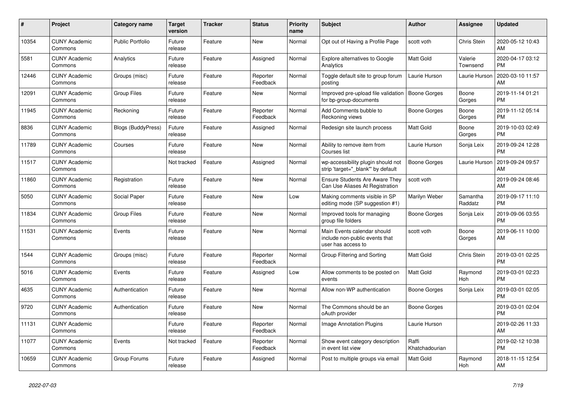| $\pmb{\#}$ | <b>Project</b>                  | <b>Category name</b>      | <b>Target</b><br>version | <b>Tracker</b> | <b>Status</b>        | <b>Priority</b><br>name | <b>Subject</b>                                                                      | <b>Author</b>           | Assignee            | <b>Updated</b>                |
|------------|---------------------------------|---------------------------|--------------------------|----------------|----------------------|-------------------------|-------------------------------------------------------------------------------------|-------------------------|---------------------|-------------------------------|
| 10354      | <b>CUNY Academic</b><br>Commons | <b>Public Portfolio</b>   | Future<br>release        | Feature        | New                  | Normal                  | Opt out of Having a Profile Page                                                    | scott voth              | Chris Stein         | 2020-05-12 10:43<br>AM        |
| 5581       | <b>CUNY Academic</b><br>Commons | Analytics                 | Future<br>release        | Feature        | Assigned             | Normal                  | Explore alternatives to Google<br>Analytics                                         | Matt Gold               | Valerie<br>Townsend | 2020-04-17 03:12<br><b>PM</b> |
| 12446      | <b>CUNY Academic</b><br>Commons | Groups (misc)             | Future<br>release        | Feature        | Reporter<br>Feedback | Normal                  | Toggle default site to group forum<br>posting                                       | Laurie Hurson           | Laurie Hurson       | 2020-03-10 11:57<br>AM        |
| 12091      | <b>CUNY Academic</b><br>Commons | <b>Group Files</b>        | Future<br>release        | Feature        | <b>New</b>           | Normal                  | Improved pre-upload file validation<br>for bp-group-documents                       | Boone Gorges            | Boone<br>Gorges     | 2019-11-14 01:21<br><b>PM</b> |
| 11945      | <b>CUNY Academic</b><br>Commons | Reckoning                 | Future<br>release        | Feature        | Reporter<br>Feedback | Normal                  | Add Comments bubble to<br>Reckoning views                                           | Boone Gorges            | Boone<br>Gorges     | 2019-11-12 05:14<br><b>PM</b> |
| 8836       | <b>CUNY Academic</b><br>Commons | <b>Blogs (BuddyPress)</b> | Future<br>release        | Feature        | Assigned             | Normal                  | Redesign site launch process                                                        | Matt Gold               | Boone<br>Gorges     | 2019-10-03 02:49<br><b>PM</b> |
| 11789      | <b>CUNY Academic</b><br>Commons | Courses                   | Future<br>release        | Feature        | <b>New</b>           | Normal                  | Ability to remove item from<br>Courses list                                         | Laurie Hurson           | Sonja Leix          | 2019-09-24 12:28<br><b>PM</b> |
| 11517      | <b>CUNY Academic</b><br>Commons |                           | Not tracked              | Feature        | Assigned             | Normal                  | wp-accessibility plugin should not<br>strip 'target="_blank"' by default            | Boone Gorges            | Laurie Hurson       | 2019-09-24 09:57<br>AM        |
| 11860      | <b>CUNY Academic</b><br>Commons | Registration              | Future<br>release        | Feature        | New                  | Normal                  | <b>Ensure Students Are Aware They</b><br>Can Use Aliases At Registration            | scott voth              |                     | 2019-09-24 08:46<br>AM        |
| 5050       | <b>CUNY Academic</b><br>Commons | Social Paper              | Future<br>release        | Feature        | <b>New</b>           | Low                     | Making comments visible in SP<br>editing mode (SP suggestion #1)                    | Marilyn Weber           | Samantha<br>Raddatz | 2019-09-17 11:10<br><b>PM</b> |
| 11834      | <b>CUNY Academic</b><br>Commons | <b>Group Files</b>        | Future<br>release        | Feature        | New                  | Normal                  | Improved tools for managing<br>group file folders                                   | Boone Gorges            | Sonja Leix          | 2019-09-06 03:55<br><b>PM</b> |
| 11531      | <b>CUNY Academic</b><br>Commons | Events                    | Future<br>release        | Feature        | New                  | Normal                  | Main Events calendar should<br>include non-public events that<br>user has access to | scott voth              | Boone<br>Gorges     | 2019-06-11 10:00<br>AM        |
| 1544       | <b>CUNY Academic</b><br>Commons | Groups (misc)             | Future<br>release        | Feature        | Reporter<br>Feedback | Normal                  | Group Filtering and Sorting                                                         | <b>Matt Gold</b>        | Chris Stein         | 2019-03-01 02:25<br><b>PM</b> |
| 5016       | <b>CUNY Academic</b><br>Commons | Events                    | Future<br>release        | Feature        | Assigned             | Low                     | Allow comments to be posted on<br>events                                            | <b>Matt Gold</b>        | Raymond<br>Hoh      | 2019-03-01 02:23<br><b>PM</b> |
| 4635       | <b>CUNY Academic</b><br>Commons | Authentication            | Future<br>release        | Feature        | New                  | Normal                  | Allow non-WP authentication                                                         | Boone Gorges            | Sonja Leix          | 2019-03-01 02:05<br><b>PM</b> |
| 9720       | <b>CUNY Academic</b><br>Commons | Authentication            | Future<br>release        | Feature        | <b>New</b>           | Normal                  | The Commons should be an<br>oAuth provider                                          | Boone Gorges            |                     | 2019-03-01 02:04<br><b>PM</b> |
| 11131      | <b>CUNY Academic</b><br>Commons |                           | Future<br>release        | Feature        | Reporter<br>Feedback | Normal                  | <b>Image Annotation Plugins</b>                                                     | Laurie Hurson           |                     | 2019-02-26 11:33<br>AM        |
| 11077      | <b>CUNY Academic</b><br>Commons | Events                    | Not tracked              | Feature        | Reporter<br>Feedback | Normal                  | Show event category description<br>in event list view                               | Raffi<br>Khatchadourian |                     | 2019-02-12 10:38<br><b>PM</b> |
| 10659      | <b>CUNY Academic</b><br>Commons | Group Forums              | Future<br>release        | Feature        | Assigned             | Normal                  | Post to multiple groups via email                                                   | <b>Matt Gold</b>        | Raymond<br>Hoh      | 2018-11-15 12:54<br>AM        |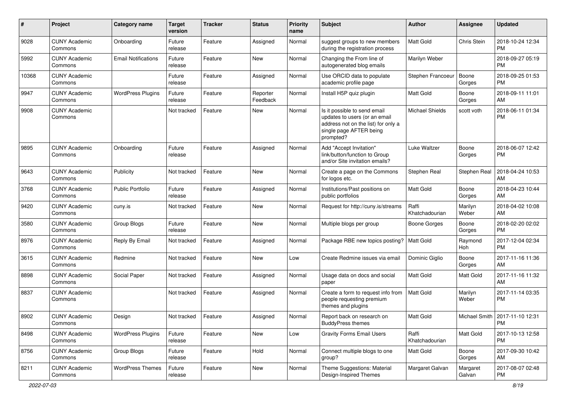| #     | Project                         | Category name              | <b>Target</b><br>version | Tracker | <b>Status</b>        | <b>Priority</b><br>name | <b>Subject</b>                                                                                                                               | Author                  | Assignee           | <b>Updated</b>                                |
|-------|---------------------------------|----------------------------|--------------------------|---------|----------------------|-------------------------|----------------------------------------------------------------------------------------------------------------------------------------------|-------------------------|--------------------|-----------------------------------------------|
| 9028  | <b>CUNY Academic</b><br>Commons | Onboarding                 | Future<br>release        | Feature | Assigned             | Normal                  | suggest groups to new members<br>during the registration process                                                                             | <b>Matt Gold</b>        | Chris Stein        | 2018-10-24 12:34<br><b>PM</b>                 |
| 5992  | <b>CUNY Academic</b><br>Commons | <b>Email Notifications</b> | Future<br>release        | Feature | New                  | Normal                  | Changing the From line of<br>autogenerated blog emails                                                                                       | Marilyn Weber           |                    | 2018-09-27 05:19<br><b>PM</b>                 |
| 10368 | <b>CUNY Academic</b><br>Commons |                            | Future<br>release        | Feature | Assigned             | Normal                  | Use ORCID data to populate<br>academic profile page                                                                                          | Stephen Francoeur       | Boone<br>Gorges    | 2018-09-25 01:53<br><b>PM</b>                 |
| 9947  | <b>CUNY Academic</b><br>Commons | <b>WordPress Plugins</b>   | Future<br>release        | Feature | Reporter<br>Feedback | Normal                  | Install H5P quiz plugin                                                                                                                      | <b>Matt Gold</b>        | Boone<br>Gorges    | 2018-09-11 11:01<br>AM                        |
| 9908  | <b>CUNY Academic</b><br>Commons |                            | Not tracked              | Feature | New                  | Normal                  | Is it possible to send email<br>updates to users (or an email<br>address not on the list) for only a<br>single page AFTER being<br>prompted? | <b>Michael Shields</b>  | scott voth         | 2018-06-11 01:34<br><b>PM</b>                 |
| 9895  | <b>CUNY Academic</b><br>Commons | Onboarding                 | Future<br>release        | Feature | Assigned             | Normal                  | Add "Accept Invitation"<br>link/button/function to Group<br>and/or Site invitation emails?                                                   | Luke Waltzer            | Boone<br>Gorges    | 2018-06-07 12:42<br><b>PM</b>                 |
| 9643  | <b>CUNY Academic</b><br>Commons | Publicity                  | Not tracked              | Feature | <b>New</b>           | Normal                  | Create a page on the Commons<br>for logos etc.                                                                                               | Stephen Real            | Stephen Real       | 2018-04-24 10:53<br>AM                        |
| 3768  | <b>CUNY Academic</b><br>Commons | <b>Public Portfolio</b>    | Future<br>release        | Feature | Assigned             | Normal                  | Institutions/Past positions on<br>public portfolios                                                                                          | <b>Matt Gold</b>        | Boone<br>Gorges    | 2018-04-23 10:44<br>AM                        |
| 9420  | <b>CUNY Academic</b><br>Commons | cuny.is                    | Not tracked              | Feature | <b>New</b>           | Normal                  | Request for http://cuny.is/streams                                                                                                           | Raffi<br>Khatchadourian | Marilyn<br>Weber   | 2018-04-02 10:08<br>AM                        |
| 3580  | <b>CUNY Academic</b><br>Commons | Group Blogs                | Future<br>release        | Feature | New                  | Normal                  | Multiple blogs per group                                                                                                                     | <b>Boone Gorges</b>     | Boone<br>Gorges    | 2018-02-20 02:02<br><b>PM</b>                 |
| 8976  | <b>CUNY Academic</b><br>Commons | Reply By Email             | Not tracked              | Feature | Assigned             | Normal                  | Package RBE new topics posting?                                                                                                              | Matt Gold               | Raymond<br>Hoh     | 2017-12-04 02:34<br><b>PM</b>                 |
| 3615  | <b>CUNY Academic</b><br>Commons | Redmine                    | Not tracked              | Feature | <b>New</b>           | Low                     | Create Redmine issues via email                                                                                                              | Dominic Giglio          | Boone<br>Gorges    | 2017-11-16 11:36<br>AM                        |
| 8898  | <b>CUNY Academic</b><br>Commons | Social Paper               | Not tracked              | Feature | Assigned             | Normal                  | Usage data on docs and social<br>paper                                                                                                       | <b>Matt Gold</b>        | Matt Gold          | 2017-11-16 11:32<br>AM                        |
| 8837  | <b>CUNY Academic</b><br>Commons |                            | Not tracked              | Feature | Assigned             | Normal                  | Create a form to request info from<br>people requesting premium<br>themes and plugins                                                        | <b>Matt Gold</b>        | Marilyn<br>Weber   | 2017-11-14 03:35<br><b>PM</b>                 |
| 8902  | <b>CUNY Academic</b><br>Commons | Design                     | Not tracked              | Feature | Assigned             | Normal                  | Report back on research on<br><b>BuddyPress themes</b>                                                                                       | Matt Gold               |                    | Michael Smith   2017-11-10 12:31<br><b>PM</b> |
| 8498  | <b>CUNY Academic</b><br>Commons | <b>WordPress Plugins</b>   | Future<br>release        | Feature | New                  | Low                     | <b>Gravity Forms Email Users</b>                                                                                                             | Raffi<br>Khatchadourian | Matt Gold          | 2017-10-13 12:58<br>PM                        |
| 8756  | <b>CUNY Academic</b><br>Commons | Group Blogs                | Future<br>release        | Feature | Hold                 | Normal                  | Connect multiple blogs to one<br>group?                                                                                                      | Matt Gold               | Boone<br>Gorges    | 2017-09-30 10:42<br>AM                        |
| 8211  | <b>CUNY Academic</b><br>Commons | <b>WordPress Themes</b>    | Future<br>release        | Feature | New                  | Normal                  | Theme Suggestions: Material<br>Design-Inspired Themes                                                                                        | Margaret Galvan         | Margaret<br>Galvan | 2017-08-07 02:48<br>PM                        |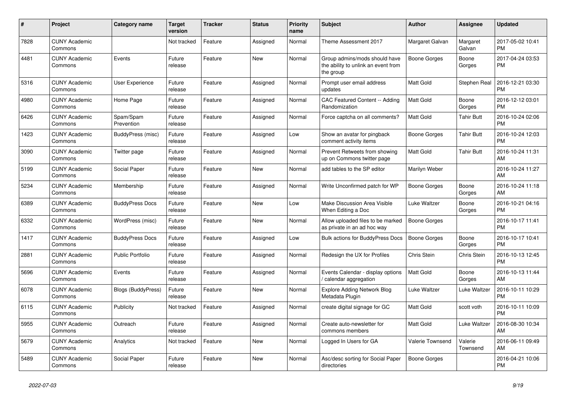| #    | <b>Project</b>                  | Category name             | <b>Target</b><br>version | <b>Tracker</b> | <b>Status</b> | <b>Priority</b><br>name | <b>Subject</b>                                                                    | <b>Author</b>       | Assignee            | <b>Updated</b>                |
|------|---------------------------------|---------------------------|--------------------------|----------------|---------------|-------------------------|-----------------------------------------------------------------------------------|---------------------|---------------------|-------------------------------|
| 7828 | <b>CUNY Academic</b><br>Commons |                           | Not tracked              | Feature        | Assigned      | Normal                  | Theme Assessment 2017                                                             | Margaret Galvan     | Margaret<br>Galvan  | 2017-05-02 10:41<br><b>PM</b> |
| 4481 | <b>CUNY Academic</b><br>Commons | Events                    | Future<br>release        | Feature        | New           | Normal                  | Group admins/mods should have<br>the ability to unlink an event from<br>the group | <b>Boone Gorges</b> | Boone<br>Gorges     | 2017-04-24 03:53<br><b>PM</b> |
| 5316 | <b>CUNY Academic</b><br>Commons | <b>User Experience</b>    | Future<br>release        | Feature        | Assigned      | Normal                  | Prompt user email address<br>updates                                              | <b>Matt Gold</b>    | Stephen Real        | 2016-12-21 03:30<br><b>PM</b> |
| 4980 | <b>CUNY Academic</b><br>Commons | Home Page                 | Future<br>release        | Feature        | Assigned      | Normal                  | CAC Featured Content -- Adding<br>Randomization                                   | <b>Matt Gold</b>    | Boone<br>Gorges     | 2016-12-12 03:01<br><b>PM</b> |
| 6426 | <b>CUNY Academic</b><br>Commons | Spam/Spam<br>Prevention   | Future<br>release        | Feature        | Assigned      | Normal                  | Force captcha on all comments?                                                    | <b>Matt Gold</b>    | <b>Tahir Butt</b>   | 2016-10-24 02:06<br><b>PM</b> |
| 1423 | <b>CUNY Academic</b><br>Commons | BuddyPress (misc)         | Future<br>release        | Feature        | Assigned      | Low                     | Show an avatar for pingback<br>comment activity items                             | Boone Gorges        | Tahir Butt          | 2016-10-24 12:03<br><b>PM</b> |
| 3090 | <b>CUNY Academic</b><br>Commons | Twitter page              | Future<br>release        | Feature        | Assigned      | Normal                  | Prevent Retweets from showing<br>up on Commons twitter page                       | <b>Matt Gold</b>    | Tahir Butt          | 2016-10-24 11:31<br>AM        |
| 5199 | <b>CUNY Academic</b><br>Commons | Social Paper              | Future<br>release        | Feature        | New           | Normal                  | add tables to the SP editor                                                       | Marilyn Weber       |                     | 2016-10-24 11:27<br>AM        |
| 5234 | <b>CUNY Academic</b><br>Commons | Membership                | Future<br>release        | Feature        | Assigned      | Normal                  | Write Unconfirmed patch for WP                                                    | Boone Gorges        | Boone<br>Gorges     | 2016-10-24 11:18<br>AM        |
| 6389 | <b>CUNY Academic</b><br>Commons | <b>BuddyPress Docs</b>    | Future<br>release        | Feature        | <b>New</b>    | Low                     | Make Discussion Area Visible<br>When Editing a Doc                                | Luke Waltzer        | Boone<br>Gorges     | 2016-10-21 04:16<br><b>PM</b> |
| 6332 | <b>CUNY Academic</b><br>Commons | WordPress (misc)          | Future<br>release        | Feature        | New           | Normal                  | Allow uploaded files to be marked<br>as private in an ad hoc way                  | Boone Gorges        |                     | 2016-10-17 11:41<br><b>PM</b> |
| 1417 | <b>CUNY Academic</b><br>Commons | <b>BuddyPress Docs</b>    | Future<br>release        | Feature        | Assigned      | Low                     | <b>Bulk actions for BuddyPress Docs</b>                                           | Boone Gorges        | Boone<br>Gorges     | 2016-10-17 10:41<br><b>PM</b> |
| 2881 | <b>CUNY Academic</b><br>Commons | Public Portfolio          | Future<br>release        | Feature        | Assigned      | Normal                  | Redesign the UX for Profiles                                                      | Chris Stein         | Chris Stein         | 2016-10-13 12:45<br><b>PM</b> |
| 5696 | <b>CUNY Academic</b><br>Commons | Events                    | Future<br>release        | Feature        | Assigned      | Normal                  | Events Calendar - display options<br>calendar aggregation                         | <b>Matt Gold</b>    | Boone<br>Gorges     | 2016-10-13 11:44<br>AM        |
| 6078 | <b>CUNY Academic</b><br>Commons | <b>Blogs (BuddyPress)</b> | Future<br>release        | Feature        | New           | Normal                  | <b>Explore Adding Network Blog</b><br>Metadata Plugin                             | Luke Waltzer        | Luke Waltzer        | 2016-10-11 10:29<br><b>PM</b> |
| 6115 | <b>CUNY Academic</b><br>Commons | Publicity                 | Not tracked              | Feature        | Assigned      | Normal                  | create digital signage for GC                                                     | Matt Gold           | scott voth          | 2016-10-11 10:09<br><b>PM</b> |
| 5955 | <b>CUNY Academic</b><br>Commons | Outreach                  | Future<br>release        | Feature        | Assigned      | Normal                  | Create auto-newsletter for<br>commons members                                     | <b>Matt Gold</b>    | Luke Waltzer        | 2016-08-30 10:34<br>AM        |
| 5679 | <b>CUNY Academic</b><br>Commons | Analytics                 | Not tracked              | Feature        | New           | Normal                  | Logged In Users for GA                                                            | Valerie Townsend    | Valerie<br>Townsend | 2016-06-11 09:49<br>AM        |
| 5489 | <b>CUNY Academic</b><br>Commons | Social Paper              | Future<br>release        | Feature        | <b>New</b>    | Normal                  | Asc/desc sorting for Social Paper<br>directories                                  | Boone Gorges        |                     | 2016-04-21 10:06<br><b>PM</b> |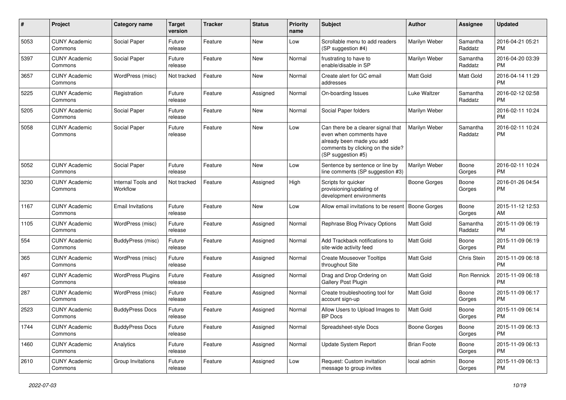| #    | Project                         | <b>Category name</b>           | <b>Target</b><br>version | <b>Tracker</b> | <b>Status</b> | Priority<br>name | <b>Subject</b>                                                                                                                                        | Author             | <b>Assignee</b>     | <b>Updated</b>                |
|------|---------------------------------|--------------------------------|--------------------------|----------------|---------------|------------------|-------------------------------------------------------------------------------------------------------------------------------------------------------|--------------------|---------------------|-------------------------------|
| 5053 | <b>CUNY Academic</b><br>Commons | Social Paper                   | Future<br>release        | Feature        | <b>New</b>    | Low              | Scrollable menu to add readers<br>(SP suggestion #4)                                                                                                  | Marilyn Weber      | Samantha<br>Raddatz | 2016-04-21 05:21<br><b>PM</b> |
| 5397 | <b>CUNY Academic</b><br>Commons | Social Paper                   | Future<br>release        | Feature        | New           | Normal           | frustrating to have to<br>enable/disable in SP                                                                                                        | Marilyn Weber      | Samantha<br>Raddatz | 2016-04-20 03:39<br><b>PM</b> |
| 3657 | <b>CUNY Academic</b><br>Commons | WordPress (misc)               | Not tracked              | Feature        | <b>New</b>    | Normal           | Create alert for GC email<br>addresses                                                                                                                | Matt Gold          | Matt Gold           | 2016-04-14 11:29<br><b>PM</b> |
| 5225 | <b>CUNY Academic</b><br>Commons | Registration                   | Future<br>release        | Feature        | Assigned      | Normal           | On-boarding Issues                                                                                                                                    | Luke Waltzer       | Samantha<br>Raddatz | 2016-02-12 02:58<br><b>PM</b> |
| 5205 | <b>CUNY Academic</b><br>Commons | Social Paper                   | Future<br>release        | Feature        | <b>New</b>    | Normal           | Social Paper folders                                                                                                                                  | Marilyn Weber      |                     | 2016-02-11 10:24<br>PM        |
| 5058 | <b>CUNY Academic</b><br>Commons | Social Paper                   | Future<br>release        | Feature        | New           | Low              | Can there be a clearer signal that<br>even when comments have<br>already been made you add<br>comments by clicking on the side?<br>(SP suggestion #5) | Marilyn Weber      | Samantha<br>Raddatz | 2016-02-11 10:24<br><b>PM</b> |
| 5052 | <b>CUNY Academic</b><br>Commons | Social Paper                   | Future<br>release        | Feature        | New           | Low              | Sentence by sentence or line by<br>line comments (SP suggestion #3)                                                                                   | Marilyn Weber      | Boone<br>Gorges     | 2016-02-11 10:24<br><b>PM</b> |
| 3230 | <b>CUNY Academic</b><br>Commons | Internal Tools and<br>Workflow | Not tracked              | Feature        | Assigned      | High             | Scripts for quicker<br>provisioning/updating of<br>development environments                                                                           | Boone Gorges       | Boone<br>Gorges     | 2016-01-26 04:54<br><b>PM</b> |
| 1167 | <b>CUNY Academic</b><br>Commons | <b>Email Invitations</b>       | Future<br>release        | Feature        | <b>New</b>    | Low              | Allow email invitations to be resent                                                                                                                  | Boone Gorges       | Boone<br>Gorges     | 2015-11-12 12:53<br>AM        |
| 1105 | <b>CUNY Academic</b><br>Commons | WordPress (misc)               | Future<br>release        | Feature        | Assigned      | Normal           | Rephrase Blog Privacy Options                                                                                                                         | <b>Matt Gold</b>   | Samantha<br>Raddatz | 2015-11-09 06:19<br><b>PM</b> |
| 554  | <b>CUNY Academic</b><br>Commons | BuddyPress (misc)              | Future<br>release        | Feature        | Assigned      | Normal           | Add Trackback notifications to<br>site-wide activity feed                                                                                             | <b>Matt Gold</b>   | Boone<br>Gorges     | 2015-11-09 06:19<br><b>PM</b> |
| 365  | <b>CUNY Academic</b><br>Commons | WordPress (misc)               | Future<br>release        | Feature        | Assigned      | Normal           | <b>Create Mouseover Tooltips</b><br>throughout Site                                                                                                   | <b>Matt Gold</b>   | Chris Stein         | 2015-11-09 06:18<br><b>PM</b> |
| 497  | <b>CUNY Academic</b><br>Commons | <b>WordPress Plugins</b>       | Future<br>release        | Feature        | Assigned      | Normal           | Drag and Drop Ordering on<br>Gallery Post Plugin                                                                                                      | <b>Matt Gold</b>   | Ron Rennick         | 2015-11-09 06:18<br><b>PM</b> |
| 287  | <b>CUNY Academic</b><br>Commons | WordPress (misc)               | Future<br>release        | Feature        | Assigned      | Normal           | Create troubleshooting tool for<br>account sign-up                                                                                                    | Matt Gold          | Boone<br>Gorges     | 2015-11-09 06:17<br><b>PM</b> |
| 2523 | <b>CUNY Academic</b><br>Commons | <b>BuddyPress Docs</b>         | Future<br>release        | Feature        | Assigned      | Normal           | Allow Users to Upload Images to<br><b>BP</b> Docs                                                                                                     | Matt Gold          | Boone<br>Gorges     | 2015-11-09 06:14<br><b>PM</b> |
| 1744 | <b>CUNY Academic</b><br>Commons | <b>BuddyPress Docs</b>         | Future<br>release        | Feature        | Assigned      | Normal           | Spreadsheet-style Docs                                                                                                                                | Boone Gorges       | Boone<br>Gorges     | 2015-11-09 06:13<br><b>PM</b> |
| 1460 | <b>CUNY Academic</b><br>Commons | Analytics                      | Future<br>release        | Feature        | Assigned      | Normal           | Update System Report                                                                                                                                  | <b>Brian Foote</b> | Boone<br>Gorges     | 2015-11-09 06:13<br><b>PM</b> |
| 2610 | <b>CUNY Academic</b><br>Commons | Group Invitations              | Future<br>release        | Feature        | Assigned      | Low              | Request: Custom invitation<br>message to group invites                                                                                                | local admin        | Boone<br>Gorges     | 2015-11-09 06:13<br><b>PM</b> |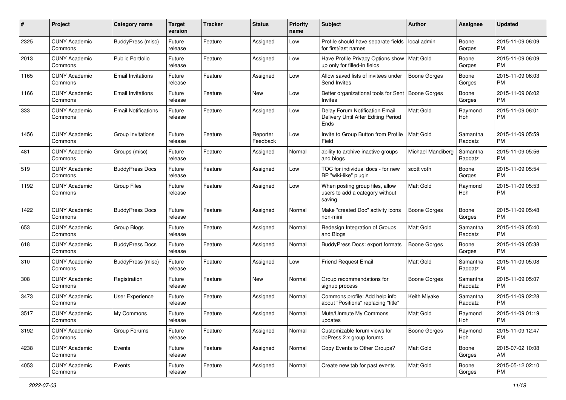| #    | Project                         | <b>Category name</b>       | <b>Target</b><br>version | <b>Tracker</b> | <b>Status</b>        | <b>Priority</b><br>name | <b>Subject</b>                                                                | <b>Author</b>       | <b>Assignee</b>     | <b>Updated</b>                |
|------|---------------------------------|----------------------------|--------------------------|----------------|----------------------|-------------------------|-------------------------------------------------------------------------------|---------------------|---------------------|-------------------------------|
| 2325 | <b>CUNY Academic</b><br>Commons | <b>BuddyPress (misc)</b>   | Future<br>release        | Feature        | Assigned             | Low                     | Profile should have separate fields<br>for first/last names                   | local admin         | Boone<br>Gorges     | 2015-11-09 06:09<br><b>PM</b> |
| 2013 | <b>CUNY Academic</b><br>Commons | <b>Public Portfolio</b>    | Future<br>release        | Feature        | Assigned             | Low                     | Have Profile Privacy Options show   Matt Gold<br>up only for filled-in fields |                     | Boone<br>Gorges     | 2015-11-09 06:09<br><b>PM</b> |
| 1165 | <b>CUNY Academic</b><br>Commons | <b>Email Invitations</b>   | Future<br>release        | Feature        | Assigned             | Low                     | Allow saved lists of invitees under<br>Send Invites                           | <b>Boone Gorges</b> | Boone<br>Gorges     | 2015-11-09 06:03<br><b>PM</b> |
| 1166 | <b>CUNY Academic</b><br>Commons | <b>Email Invitations</b>   | Future<br>release        | Feature        | New                  | Low                     | Better organizational tools for Sent<br>Invites                               | Boone Gorges        | Boone<br>Gorges     | 2015-11-09 06:02<br>PM.       |
| 333  | <b>CUNY Academic</b><br>Commons | <b>Email Notifications</b> | Future<br>release        | Feature        | Assigned             | Low                     | Delay Forum Notification Email<br>Delivery Until After Editing Period<br>Ends | Matt Gold           | Raymond<br>Hoh      | 2015-11-09 06:01<br><b>PM</b> |
| 1456 | <b>CUNY Academic</b><br>Commons | Group Invitations          | Future<br>release        | Feature        | Reporter<br>Feedback | Low                     | Invite to Group Button from Profile<br>Field                                  | <b>Matt Gold</b>    | Samantha<br>Raddatz | 2015-11-09 05:59<br><b>PM</b> |
| 481  | <b>CUNY Academic</b><br>Commons | Groups (misc)              | Future<br>release        | Feature        | Assigned             | Normal                  | ability to archive inactive groups<br>and blogs                               | Michael Mandiberg   | Samantha<br>Raddatz | 2015-11-09 05:56<br><b>PM</b> |
| 519  | <b>CUNY Academic</b><br>Commons | <b>BuddyPress Docs</b>     | Future<br>release        | Feature        | Assigned             | Low                     | TOC for individual docs - for new<br>BP "wiki-like" plugin                    | scott voth          | Boone<br>Gorges     | 2015-11-09 05:54<br>PM.       |
| 1192 | <b>CUNY Academic</b><br>Commons | Group Files                | Future<br>release        | Feature        | Assigned             | Low                     | When posting group files, allow<br>users to add a category without<br>saving  | <b>Matt Gold</b>    | Raymond<br>Hoh      | 2015-11-09 05:53<br>PM.       |
| 1422 | <b>CUNY Academic</b><br>Commons | <b>BuddyPress Docs</b>     | Future<br>release        | Feature        | Assigned             | Normal                  | Make "created Doc" activity icons<br>non-mini                                 | <b>Boone Gorges</b> | Boone<br>Gorges     | 2015-11-09 05:48<br>PM.       |
| 653  | <b>CUNY Academic</b><br>Commons | Group Blogs                | Future<br>release        | Feature        | Assigned             | Normal                  | Redesign Integration of Groups<br>and Blogs                                   | <b>Matt Gold</b>    | Samantha<br>Raddatz | 2015-11-09 05:40<br><b>PM</b> |
| 618  | <b>CUNY Academic</b><br>Commons | <b>BuddyPress Docs</b>     | Future<br>release        | Feature        | Assigned             | Normal                  | BuddyPress Docs: export formats                                               | Boone Gorges        | Boone<br>Gorges     | 2015-11-09 05:38<br>PM.       |
| 310  | <b>CUNY Academic</b><br>Commons | <b>BuddyPress</b> (misc)   | Future<br>release        | Feature        | Assigned             | Low                     | <b>Friend Request Email</b>                                                   | <b>Matt Gold</b>    | Samantha<br>Raddatz | 2015-11-09 05:08<br>PM.       |
| 308  | <b>CUNY Academic</b><br>Commons | Registration               | Future<br>release        | Feature        | New                  | Normal                  | Group recommendations for<br>signup process                                   | <b>Boone Gorges</b> | Samantha<br>Raddatz | 2015-11-09 05:07<br><b>PM</b> |
| 3473 | <b>CUNY Academic</b><br>Commons | User Experience            | Future<br>release        | Feature        | Assigned             | Normal                  | Commons profile: Add help info<br>about "Positions" replacing "title"         | Keith Miyake        | Samantha<br>Raddatz | 2015-11-09 02:28<br><b>PM</b> |
| 3517 | <b>CUNY Academic</b><br>Commons | My Commons                 | Future<br>release        | Feature        | Assigned             | Normal                  | Mute/Unmute My Commons<br>updates                                             | Matt Gold           | Raymond<br>Hoh      | 2015-11-09 01:19<br><b>PM</b> |
| 3192 | <b>CUNY Academic</b><br>Commons | Group Forums               | Future<br>release        | Feature        | Assigned             | Normal                  | Customizable forum views for<br>bbPress 2.x group forums                      | Boone Gorges        | Raymond<br>Hoh      | 2015-11-09 12:47<br>PM.       |
| 4238 | <b>CUNY Academic</b><br>Commons | Events                     | Future<br>release        | Feature        | Assigned             | Normal                  | Copy Events to Other Groups?                                                  | Matt Gold           | Boone<br>Gorges     | 2015-07-02 10:08<br>AM        |
| 4053 | <b>CUNY Academic</b><br>Commons | Events                     | Future<br>release        | Feature        | Assigned             | Normal                  | Create new tab for past events                                                | Matt Gold           | Boone<br>Gorges     | 2015-05-12 02:10<br><b>PM</b> |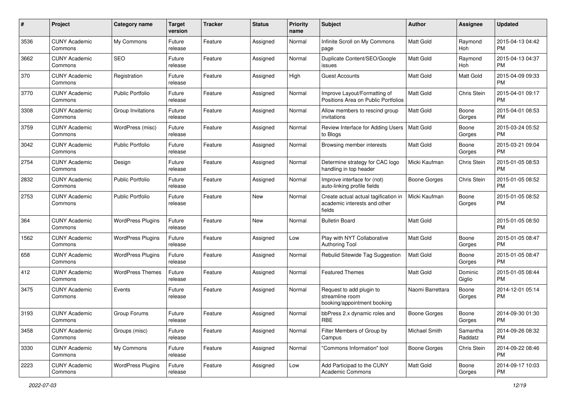| #    | Project                         | <b>Category name</b>     | <b>Target</b><br>version | <b>Tracker</b> | <b>Status</b> | <b>Priority</b><br>name | <b>Subject</b>                                                                 | <b>Author</b>       | <b>Assignee</b>     | <b>Updated</b>                |
|------|---------------------------------|--------------------------|--------------------------|----------------|---------------|-------------------------|--------------------------------------------------------------------------------|---------------------|---------------------|-------------------------------|
| 3536 | <b>CUNY Academic</b><br>Commons | My Commons               | Future<br>release        | Feature        | Assigned      | Normal                  | Infinite Scroll on My Commons<br>page                                          | <b>Matt Gold</b>    | Raymond<br>Hoh      | 2015-04-13 04:42<br>PM.       |
| 3662 | <b>CUNY Academic</b><br>Commons | SEO                      | Future<br>release        | Feature        | Assigned      | Normal                  | Duplicate Content/SEO/Google<br>issues                                         | Matt Gold           | Raymond<br>Hoh      | 2015-04-13 04:37<br><b>PM</b> |
| 370  | <b>CUNY Academic</b><br>Commons | Registration             | Future<br>release        | Feature        | Assigned      | High                    | <b>Guest Accounts</b>                                                          | Matt Gold           | Matt Gold           | 2015-04-09 09:33<br><b>PM</b> |
| 3770 | <b>CUNY Academic</b><br>Commons | <b>Public Portfolio</b>  | Future<br>release        | Feature        | Assigned      | Normal                  | Improve Layout/Formatting of<br>Positions Area on Public Portfolios            | <b>Matt Gold</b>    | Chris Stein         | 2015-04-01 09:17<br><b>PM</b> |
| 3308 | <b>CUNY Academic</b><br>Commons | Group Invitations        | Future<br>release        | Feature        | Assigned      | Normal                  | Allow members to rescind group<br>invitations                                  | <b>Matt Gold</b>    | Boone<br>Gorges     | 2015-04-01 08:53<br><b>PM</b> |
| 3759 | <b>CUNY Academic</b><br>Commons | WordPress (misc)         | Future<br>release        | Feature        | Assigned      | Normal                  | Review Interface for Adding Users<br>to Blogs                                  | Matt Gold           | Boone<br>Gorges     | 2015-03-24 05:52<br>PM.       |
| 3042 | <b>CUNY Academic</b><br>Commons | <b>Public Portfolio</b>  | Future<br>release        | Feature        | Assigned      | Normal                  | Browsing member interests                                                      | Matt Gold           | Boone<br>Gorges     | 2015-03-21 09:04<br>PM.       |
| 2754 | <b>CUNY Academic</b><br>Commons | Design                   | Future<br>release        | Feature        | Assigned      | Normal                  | Determine strategy for CAC logo<br>handling in top header                      | Micki Kaufman       | Chris Stein         | 2015-01-05 08:53<br>PM.       |
| 2832 | <b>CUNY Academic</b><br>Commons | <b>Public Portfolio</b>  | Future<br>release        | Feature        | Assigned      | Normal                  | Improve interface for (not)<br>auto-linking profile fields                     | <b>Boone Gorges</b> | Chris Stein         | 2015-01-05 08:52<br><b>PM</b> |
| 2753 | <b>CUNY Academic</b><br>Commons | Public Portfolio         | Future<br>release        | Feature        | New           | Normal                  | Create actual actual tagification in<br>academic interests and other<br>fields | Micki Kaufman       | Boone<br>Gorges     | 2015-01-05 08:52<br><b>PM</b> |
| 364  | <b>CUNY Academic</b><br>Commons | <b>WordPress Plugins</b> | Future<br>release        | Feature        | <b>New</b>    | Normal                  | <b>Bulletin Board</b>                                                          | Matt Gold           |                     | 2015-01-05 08:50<br><b>PM</b> |
| 1562 | <b>CUNY Academic</b><br>Commons | <b>WordPress Plugins</b> | Future<br>release        | Feature        | Assigned      | Low                     | Play with NYT Collaborative<br>Authoring Tool                                  | Matt Gold           | Boone<br>Gorges     | 2015-01-05 08:47<br>PM.       |
| 658  | <b>CUNY Academic</b><br>Commons | <b>WordPress Plugins</b> | Future<br>release        | Feature        | Assigned      | Normal                  | Rebulid Sitewide Tag Suggestion                                                | <b>Matt Gold</b>    | Boone<br>Gorges     | 2015-01-05 08:47<br><b>PM</b> |
| 412  | <b>CUNY Academic</b><br>Commons | <b>WordPress Themes</b>  | Future<br>release        | Feature        | Assigned      | Normal                  | <b>Featured Themes</b>                                                         | Matt Gold           | Dominic<br>Giglio   | 2015-01-05 08:44<br><b>PM</b> |
| 3475 | <b>CUNY Academic</b><br>Commons | Events                   | Future<br>release        | Feature        | Assigned      | Normal                  | Request to add plugin to<br>streamline room<br>booking/appointment booking     | Naomi Barrettara    | Boone<br>Gorges     | 2014-12-01 05:14<br><b>PM</b> |
| 3193 | <b>CUNY Academic</b><br>Commons | Group Forums             | Future<br>release        | Feature        | Assigned      | Normal                  | bbPress 2.x dynamic roles and<br>RBE                                           | Boone Gorges        | Boone<br>Gorges     | 2014-09-30 01:30<br>PM        |
| 3458 | <b>CUNY Academic</b><br>Commons | Groups (misc)            | Future<br>release        | Feature        | Assigned      | Normal                  | Filter Members of Group by<br>Campus                                           | Michael Smith       | Samantha<br>Raddatz | 2014-09-26 08:32<br>PM        |
| 3330 | <b>CUNY Academic</b><br>Commons | My Commons               | Future<br>release        | Feature        | Assigned      | Normal                  | "Commons Information" tool                                                     | Boone Gorges        | Chris Stein         | 2014-09-22 08:46<br><b>PM</b> |
| 2223 | <b>CUNY Academic</b><br>Commons | <b>WordPress Plugins</b> | Future<br>release        | Feature        | Assigned      | Low                     | Add Participad to the CUNY<br><b>Academic Commons</b>                          | Matt Gold           | Boone<br>Gorges     | 2014-09-17 10:03<br><b>PM</b> |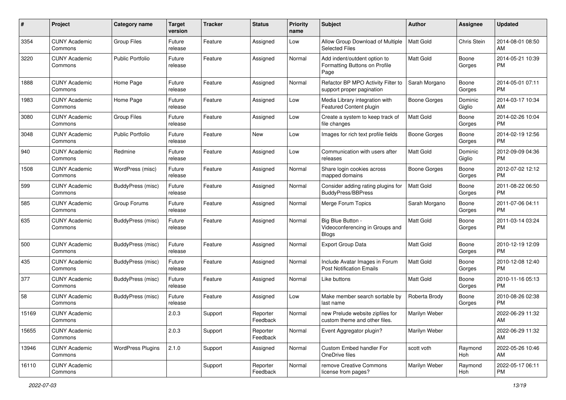| #     | Project                         | <b>Category name</b>     | <b>Target</b><br>version | <b>Tracker</b> | <b>Status</b>        | <b>Priority</b><br>name | Subject                                                               | Author           | <b>Assignee</b>   | <b>Updated</b>                |
|-------|---------------------------------|--------------------------|--------------------------|----------------|----------------------|-------------------------|-----------------------------------------------------------------------|------------------|-------------------|-------------------------------|
| 3354  | <b>CUNY Academic</b><br>Commons | <b>Group Files</b>       | Future<br>release        | Feature        | Assigned             | Low                     | Allow Group Download of Multiple<br><b>Selected Files</b>             | <b>Matt Gold</b> | Chris Stein       | 2014-08-01 08:50<br>AM        |
| 3220  | <b>CUNY Academic</b><br>Commons | <b>Public Portfolio</b>  | Future<br>release        | Feature        | Assigned             | Normal                  | Add indent/outdent option to<br>Formatting Buttons on Profile<br>Page | Matt Gold        | Boone<br>Gorges   | 2014-05-21 10:39<br><b>PM</b> |
| 1888  | <b>CUNY Academic</b><br>Commons | Home Page                | Future<br>release        | Feature        | Assigned             | Normal                  | Refactor BP MPO Activity Filter to<br>support proper pagination       | Sarah Morgano    | Boone<br>Gorges   | 2014-05-01 07:11<br><b>PM</b> |
| 1983  | <b>CUNY Academic</b><br>Commons | Home Page                | Future<br>release        | Feature        | Assigned             | Low                     | Media Library integration with<br>Featured Content plugin             | Boone Gorges     | Dominic<br>Giglio | 2014-03-17 10:34<br>AM        |
| 3080  | <b>CUNY Academic</b><br>Commons | <b>Group Files</b>       | Future<br>release        | Feature        | Assigned             | Low                     | Create a system to keep track of<br>file changes                      | Matt Gold        | Boone<br>Gorges   | 2014-02-26 10:04<br><b>PM</b> |
| 3048  | <b>CUNY Academic</b><br>Commons | <b>Public Portfolio</b>  | Future<br>release        | Feature        | New                  | Low                     | Images for rich text profile fields                                   | Boone Gorges     | Boone<br>Gorges   | 2014-02-19 12:56<br><b>PM</b> |
| 940   | <b>CUNY Academic</b><br>Commons | Redmine                  | Future<br>release        | Feature        | Assigned             | Low                     | Communication with users after<br>releases                            | <b>Matt Gold</b> | Dominic<br>Giglio | 2012-09-09 04:36<br><b>PM</b> |
| 1508  | <b>CUNY Academic</b><br>Commons | WordPress (misc)         | Future<br>release        | Feature        | Assigned             | Normal                  | Share login cookies across<br>mapped domains                          | Boone Gorges     | Boone<br>Gorges   | 2012-07-02 12:12<br><b>PM</b> |
| 599   | <b>CUNY Academic</b><br>Commons | BuddyPress (misc)        | Future<br>release        | Feature        | Assigned             | Normal                  | Consider adding rating plugins for<br><b>BuddyPress/BBPress</b>       | <b>Matt Gold</b> | Boone<br>Gorges   | 2011-08-22 06:50<br><b>PM</b> |
| 585   | <b>CUNY Academic</b><br>Commons | Group Forums             | Future<br>release        | Feature        | Assigned             | Normal                  | Merge Forum Topics                                                    | Sarah Morgano    | Boone<br>Gorges   | 2011-07-06 04:11<br><b>PM</b> |
| 635   | <b>CUNY Academic</b><br>Commons | BuddyPress (misc)        | Future<br>release        | Feature        | Assigned             | Normal                  | Big Blue Button -<br>Videoconferencing in Groups and<br><b>Blogs</b>  | Matt Gold        | Boone<br>Gorges   | 2011-03-14 03:24<br><b>PM</b> |
| 500   | <b>CUNY Academic</b><br>Commons | BuddyPress (misc)        | Future<br>release        | Feature        | Assigned             | Normal                  | <b>Export Group Data</b>                                              | Matt Gold        | Boone<br>Gorges   | 2010-12-19 12:09<br><b>PM</b> |
| 435   | <b>CUNY Academic</b><br>Commons | <b>BuddyPress</b> (misc) | Future<br>release        | Feature        | Assigned             | Normal                  | Include Avatar Images in Forum<br><b>Post Notification Emails</b>     | <b>Matt Gold</b> | Boone<br>Gorges   | 2010-12-08 12:40<br><b>PM</b> |
| 377   | <b>CUNY Academic</b><br>Commons | BuddyPress (misc)        | Future<br>release        | Feature        | Assigned             | Normal                  | Like buttons                                                          | Matt Gold        | Boone<br>Gorges   | 2010-11-16 05:13<br><b>PM</b> |
| 58    | <b>CUNY Academic</b><br>Commons | BuddyPress (misc)        | Future<br>release        | Feature        | Assigned             | Low                     | Make member search sortable by<br>last name                           | Roberta Brody    | Boone<br>Gorges   | 2010-08-26 02:38<br><b>PM</b> |
| 15169 | <b>CUNY Academic</b><br>Commons |                          | 2.0.3                    | Support        | Reporter<br>Feedback | Normal                  | new Prelude website zipfiles for<br>custom theme and other files.     | Marilyn Weber    |                   | 2022-06-29 11:32<br>AM        |
| 15655 | <b>CUNY Academic</b><br>Commons |                          | 2.0.3                    | Support        | Reporter<br>Feedback | Normal                  | Event Aggregator plugin?                                              | Marilyn Weber    |                   | 2022-06-29 11:32<br>AM        |
| 13946 | <b>CUNY Academic</b><br>Commons | <b>WordPress Plugins</b> | 2.1.0                    | Support        | Assigned             | Normal                  | Custom Embed handler For<br>OneDrive files                            | scott voth       | Raymond<br>Hoh    | 2022-05-26 10:46<br>AM        |
| 16110 | <b>CUNY Academic</b><br>Commons |                          |                          | Support        | Reporter<br>Feedback | Normal                  | remove Creative Commons<br>license from pages?                        | Marilyn Weber    | Raymond<br>Hoh    | 2022-05-17 06:11<br><b>PM</b> |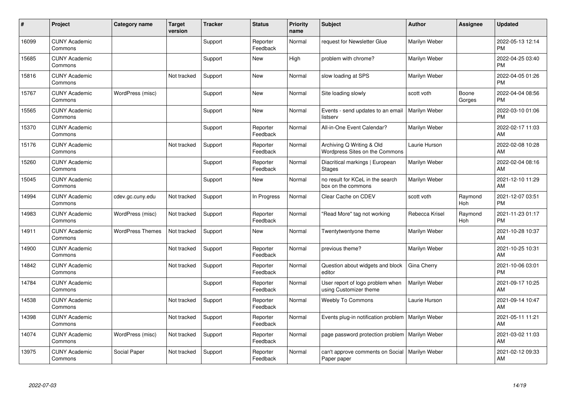| #     | Project                         | <b>Category name</b>    | <b>Target</b><br>version | <b>Tracker</b> | <b>Status</b>        | <b>Priority</b><br>name | <b>Subject</b>                                              | <b>Author</b>  | Assignee        | <b>Updated</b>                |
|-------|---------------------------------|-------------------------|--------------------------|----------------|----------------------|-------------------------|-------------------------------------------------------------|----------------|-----------------|-------------------------------|
| 16099 | <b>CUNY Academic</b><br>Commons |                         |                          | Support        | Reporter<br>Feedback | Normal                  | request for Newsletter Glue                                 | Marilyn Weber  |                 | 2022-05-13 12:14<br><b>PM</b> |
| 15685 | <b>CUNY Academic</b><br>Commons |                         |                          | Support        | <b>New</b>           | High                    | problem with chrome?                                        | Marilyn Weber  |                 | 2022-04-25 03:40<br><b>PM</b> |
| 15816 | <b>CUNY Academic</b><br>Commons |                         | Not tracked              | Support        | New                  | Normal                  | slow loading at SPS                                         | Marilyn Weber  |                 | 2022-04-05 01:26<br><b>PM</b> |
| 15767 | <b>CUNY Academic</b><br>Commons | WordPress (misc)        |                          | Support        | New                  | Normal                  | Site loading slowly                                         | scott voth     | Boone<br>Gorges | 2022-04-04 08:56<br><b>PM</b> |
| 15565 | <b>CUNY Academic</b><br>Commons |                         |                          | Support        | New                  | Normal                  | Events - send updates to an email<br>listserv               | Marilyn Weber  |                 | 2022-03-10 01:06<br><b>PM</b> |
| 15370 | <b>CUNY Academic</b><br>Commons |                         |                          | Support        | Reporter<br>Feedback | Normal                  | All-in-One Event Calendar?                                  | Marilyn Weber  |                 | 2022-02-17 11:03<br>AM        |
| 15176 | <b>CUNY Academic</b><br>Commons |                         | Not tracked              | Support        | Reporter<br>Feedback | Normal                  | Archiving Q Writing & Old<br>Wordpress Sites on the Commons | Laurie Hurson  |                 | 2022-02-08 10:28<br>AM        |
| 15260 | <b>CUNY Academic</b><br>Commons |                         |                          | Support        | Reporter<br>Feedback | Normal                  | Diacritical markings   European<br><b>Stages</b>            | Marilyn Weber  |                 | 2022-02-04 08:16<br>AM        |
| 15045 | <b>CUNY Academic</b><br>Commons |                         |                          | Support        | New                  | Normal                  | no result for KCeL in the search<br>box on the commons      | Marilyn Weber  |                 | 2021-12-10 11:29<br>AM        |
| 14994 | <b>CUNY Academic</b><br>Commons | cdev.gc.cuny.edu        | Not tracked              | Support        | In Progress          | Normal                  | Clear Cache on CDEV                                         | scott voth     | Raymond<br>Hoh  | 2021-12-07 03:51<br><b>PM</b> |
| 14983 | <b>CUNY Academic</b><br>Commons | WordPress (misc)        | Not tracked              | Support        | Reporter<br>Feedback | Normal                  | "Read More" tag not working                                 | Rebecca Krisel | Raymond<br>Hoh  | 2021-11-23 01:17<br><b>PM</b> |
| 14911 | <b>CUNY Academic</b><br>Commons | <b>WordPress Themes</b> | Not tracked              | Support        | New                  | Normal                  | Twentytwentyone theme                                       | Marilyn Weber  |                 | 2021-10-28 10:37<br>AM        |
| 14900 | <b>CUNY Academic</b><br>Commons |                         | Not tracked              | Support        | Reporter<br>Feedback | Normal                  | previous theme?                                             | Marilyn Weber  |                 | 2021-10-25 10:31<br><b>AM</b> |
| 14842 | <b>CUNY Academic</b><br>Commons |                         | Not tracked              | Support        | Reporter<br>Feedback | Normal                  | Question about widgets and block<br>editor                  | Gina Cherry    |                 | 2021-10-06 03:01<br><b>PM</b> |
| 14784 | <b>CUNY Academic</b><br>Commons |                         |                          | Support        | Reporter<br>Feedback | Normal                  | User report of logo problem when<br>using Customizer theme  | Marilyn Weber  |                 | 2021-09-17 10:25<br>AM        |
| 14538 | <b>CUNY Academic</b><br>Commons |                         | Not tracked              | Support        | Reporter<br>Feedback | Normal                  | <b>Weebly To Commons</b>                                    | Laurie Hurson  |                 | 2021-09-14 10:47<br><b>AM</b> |
| 14398 | <b>CUNY Academic</b><br>Commons |                         | Not tracked              | Support        | Reporter<br>Feedback | Normal                  | Events plug-in notification problem   Marilyn Weber         |                |                 | 2021-05-11 11:21<br><b>AM</b> |
| 14074 | <b>CUNY Academic</b><br>Commons | WordPress (misc)        | Not tracked              | Support        | Reporter<br>Feedback | Normal                  | page password protection problem                            | Marilyn Weber  |                 | 2021-03-02 11:03<br>AM        |
| 13975 | <b>CUNY Academic</b><br>Commons | Social Paper            | Not tracked              | Support        | Reporter<br>Feedback | Normal                  | can't approve comments on Social<br>Paper paper             | Marilyn Weber  |                 | 2021-02-12 09:33<br>AM        |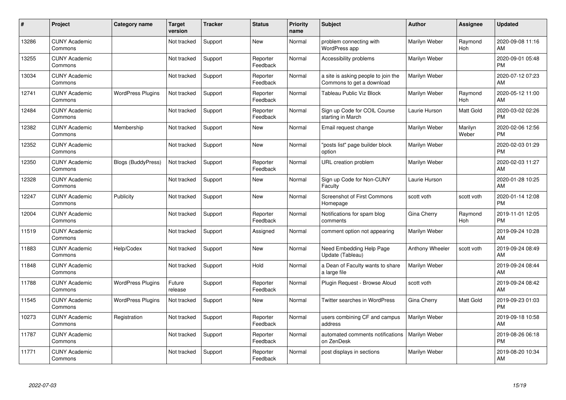| #     | Project                         | Category name             | <b>Target</b><br>version | <b>Tracker</b> | <b>Status</b>        | Priority<br>name | <b>Subject</b>                                                   | <b>Author</b>   | <b>Assignee</b>  | <b>Updated</b>                |
|-------|---------------------------------|---------------------------|--------------------------|----------------|----------------------|------------------|------------------------------------------------------------------|-----------------|------------------|-------------------------------|
| 13286 | <b>CUNY Academic</b><br>Commons |                           | Not tracked              | Support        | <b>New</b>           | Normal           | problem connecting with<br>WordPress app                         | Marilyn Weber   | Raymond<br>Hoh   | 2020-09-08 11:16<br>AM        |
| 13255 | <b>CUNY Academic</b><br>Commons |                           | Not tracked              | Support        | Reporter<br>Feedback | Normal           | Accessibility problems                                           | Marilyn Weber   |                  | 2020-09-01 05:48<br><b>PM</b> |
| 13034 | <b>CUNY Academic</b><br>Commons |                           | Not tracked              | Support        | Reporter<br>Feedback | Normal           | a site is asking people to join the<br>Commons to get a download | Marilyn Weber   |                  | 2020-07-12 07:23<br>AM        |
| 12741 | <b>CUNY Academic</b><br>Commons | <b>WordPress Plugins</b>  | Not tracked              | Support        | Reporter<br>Feedback | Normal           | Tableau Public Viz Block                                         | Marilyn Weber   | Raymond<br>Hoh   | 2020-05-12 11:00<br>AM        |
| 12484 | <b>CUNY Academic</b><br>Commons |                           | Not tracked              | Support        | Reporter<br>Feedback | Normal           | Sign up Code for COIL Course<br>starting in March                | Laurie Hurson   | Matt Gold        | 2020-03-02 02:26<br><b>PM</b> |
| 12382 | <b>CUNY Academic</b><br>Commons | Membership                | Not tracked              | Support        | <b>New</b>           | Normal           | Email request change                                             | Marilyn Weber   | Marilyn<br>Weber | 2020-02-06 12:56<br><b>PM</b> |
| 12352 | <b>CUNY Academic</b><br>Commons |                           | Not tracked              | Support        | <b>New</b>           | Normal           | "posts list" page builder block<br>option                        | Marilyn Weber   |                  | 2020-02-03 01:29<br><b>PM</b> |
| 12350 | <b>CUNY Academic</b><br>Commons | <b>Blogs (BuddyPress)</b> | Not tracked              | Support        | Reporter<br>Feedback | Normal           | URL creation problem                                             | Marilyn Weber   |                  | 2020-02-03 11:27<br>AM        |
| 12328 | <b>CUNY Academic</b><br>Commons |                           | Not tracked              | Support        | <b>New</b>           | Normal           | Sign up Code for Non-CUNY<br>Faculty                             | Laurie Hurson   |                  | 2020-01-28 10:25<br>AM        |
| 12247 | <b>CUNY Academic</b><br>Commons | Publicity                 | Not tracked              | Support        | <b>New</b>           | Normal           | <b>Screenshot of First Commons</b><br>Homepage                   | scott voth      | scott voth       | 2020-01-14 12:08<br><b>PM</b> |
| 12004 | <b>CUNY Academic</b><br>Commons |                           | Not tracked              | Support        | Reporter<br>Feedback | Normal           | Notifications for spam blog<br>comments                          | Gina Cherry     | Raymond<br>Hoh   | 2019-11-01 12:05<br><b>PM</b> |
| 11519 | <b>CUNY Academic</b><br>Commons |                           | Not tracked              | Support        | Assigned             | Normal           | comment option not appearing                                     | Marilyn Weber   |                  | 2019-09-24 10:28<br>AM        |
| 11883 | <b>CUNY Academic</b><br>Commons | Help/Codex                | Not tracked              | Support        | New                  | Normal           | Need Embedding Help Page<br>Update (Tableau)                     | Anthony Wheeler | scott voth       | 2019-09-24 08:49<br>AM        |
| 11848 | <b>CUNY Academic</b><br>Commons |                           | Not tracked              | Support        | Hold                 | Normal           | a Dean of Faculty wants to share<br>a large file                 | Marilyn Weber   |                  | 2019-09-24 08:44<br>AM        |
| 11788 | <b>CUNY Academic</b><br>Commons | <b>WordPress Plugins</b>  | Future<br>release        | Support        | Reporter<br>Feedback | Normal           | Plugin Request - Browse Aloud                                    | scott voth      |                  | 2019-09-24 08:42<br>AM        |
| 11545 | <b>CUNY Academic</b><br>Commons | <b>WordPress Plugins</b>  | Not tracked              | Support        | <b>New</b>           | Normal           | Twitter searches in WordPress                                    | Gina Cherry     | Matt Gold        | 2019-09-23 01:03<br><b>PM</b> |
| 10273 | <b>CUNY Academic</b><br>Commons | Registration              | Not tracked              | Support        | Reporter<br>Feedback | Normal           | users combining CF and campus<br>address                         | Marilyn Weber   |                  | 2019-09-18 10:58<br>AM        |
| 11787 | <b>CUNY Academic</b><br>Commons |                           | Not tracked              | Support        | Reporter<br>Feedback | Normal           | automated comments notifications<br>on ZenDesk                   | Marilyn Weber   |                  | 2019-08-26 06:18<br><b>PM</b> |
| 11771 | <b>CUNY Academic</b><br>Commons |                           | Not tracked              | Support        | Reporter<br>Feedback | Normal           | post displays in sections                                        | Marilyn Weber   |                  | 2019-08-20 10:34<br>AM        |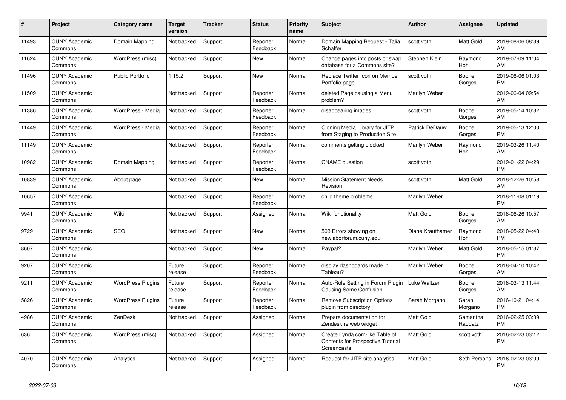| #     | <b>Project</b>                  | Category name            | <b>Target</b><br>version | <b>Tracker</b> | <b>Status</b>        | <b>Priority</b><br>name | <b>Subject</b>                                                                     | <b>Author</b>         | Assignee            | <b>Updated</b>                |
|-------|---------------------------------|--------------------------|--------------------------|----------------|----------------------|-------------------------|------------------------------------------------------------------------------------|-----------------------|---------------------|-------------------------------|
| 11493 | <b>CUNY Academic</b><br>Commons | Domain Mapping           | Not tracked              | Support        | Reporter<br>Feedback | Normal                  | Domain Mapping Request - Talia<br>Schaffer                                         | scott voth            | Matt Gold           | 2019-08-06 08:39<br>AM        |
| 11624 | <b>CUNY Academic</b><br>Commons | WordPress (misc)         | Not tracked              | Support        | New                  | Normal                  | Change pages into posts or swap<br>database for a Commons site?                    | Stephen Klein         | Raymond<br>Hoh      | 2019-07-09 11:04<br>AM        |
| 11496 | <b>CUNY Academic</b><br>Commons | <b>Public Portfolio</b>  | 1.15.2                   | Support        | New                  | Normal                  | Replace Twitter Icon on Member<br>Portfolio page                                   | scott voth            | Boone<br>Gorges     | 2019-06-06 01:03<br><b>PM</b> |
| 11509 | <b>CUNY Academic</b><br>Commons |                          | Not tracked              | Support        | Reporter<br>Feedback | Normal                  | deleted Page causing a Menu<br>problem?                                            | Marilyn Weber         |                     | 2019-06-04 09:54<br>AM        |
| 11386 | <b>CUNY Academic</b><br>Commons | WordPress - Media        | Not tracked              | Support        | Reporter<br>Feedback | Normal                  | disappearing images                                                                | scott voth            | Boone<br>Gorges     | 2019-05-14 10:32<br>AM        |
| 11449 | <b>CUNY Academic</b><br>Commons | WordPress - Media        | Not tracked              | Support        | Reporter<br>Feedback | Normal                  | Cloning Media Library for JITP<br>from Staging to Production Site                  | <b>Patrick DeDauw</b> | Boone<br>Gorges     | 2019-05-13 12:00<br><b>PM</b> |
| 11149 | <b>CUNY Academic</b><br>Commons |                          | Not tracked              | Support        | Reporter<br>Feedback | Normal                  | comments getting blocked                                                           | Marilyn Weber         | Raymond<br>Hoh      | 2019-03-26 11:40<br>AM        |
| 10982 | <b>CUNY Academic</b><br>Commons | Domain Mapping           | Not tracked              | Support        | Reporter<br>Feedback | Normal                  | <b>CNAME</b> question                                                              | scott voth            |                     | 2019-01-22 04:29<br><b>PM</b> |
| 10839 | <b>CUNY Academic</b><br>Commons | About page               | Not tracked              | Support        | New                  | Normal                  | <b>Mission Statement Needs</b><br>Revision                                         | scott voth            | Matt Gold           | 2018-12-26 10:58<br>AM        |
| 10657 | <b>CUNY Academic</b><br>Commons |                          | Not tracked              | Support        | Reporter<br>Feedback | Normal                  | child theme problems                                                               | Marilyn Weber         |                     | 2018-11-08 01:19<br><b>PM</b> |
| 9941  | <b>CUNY Academic</b><br>Commons | Wiki                     | Not tracked              | Support        | Assigned             | Normal                  | Wiki functionality                                                                 | <b>Matt Gold</b>      | Boone<br>Gorges     | 2018-06-26 10:57<br>AM        |
| 9729  | <b>CUNY Academic</b><br>Commons | <b>SEO</b>               | Not tracked              | Support        | New                  | Normal                  | 503 Errors showing on<br>newlaborforum.cuny.edu                                    | Diane Krauthamer      | Raymond<br>Hoh      | 2018-05-22 04:48<br><b>PM</b> |
| 8607  | <b>CUNY Academic</b><br>Commons |                          | Not tracked              | Support        | New                  | Normal                  | Paypal?                                                                            | Marilyn Weber         | Matt Gold           | 2018-05-15 01:37<br><b>PM</b> |
| 9207  | <b>CUNY Academic</b><br>Commons |                          | Future<br>release        | Support        | Reporter<br>Feedback | Normal                  | display dashboards made in<br>Tableau?                                             | Marilyn Weber         | Boone<br>Gorges     | 2018-04-10 10:42<br>AM        |
| 9211  | <b>CUNY Academic</b><br>Commons | <b>WordPress Plugins</b> | Future<br>release        | Support        | Reporter<br>Feedback | Normal                  | Auto-Role Setting in Forum Plugin<br><b>Causing Some Confusion</b>                 | Luke Waltzer          | Boone<br>Gorges     | 2018-03-13 11:44<br>AM        |
| 5826  | <b>CUNY Academic</b><br>Commons | <b>WordPress Plugins</b> | Future<br>release        | Support        | Reporter<br>Feedback | Normal                  | <b>Remove Subscription Options</b><br>plugin from directory                        | Sarah Morgano         | Sarah<br>Morgano    | 2016-10-21 04:14<br><b>PM</b> |
| 4986  | <b>CUNY Academic</b><br>Commons | ZenDesk                  | Not tracked              | Support        | Assigned             | Normal                  | Prepare documentation for<br>Zendesk re web widget                                 | <b>Matt Gold</b>      | Samantha<br>Raddatz | 2016-02-25 03:09<br><b>PM</b> |
| 636   | <b>CUNY Academic</b><br>Commons | WordPress (misc)         | Not tracked              | Support        | Assigned             | Normal                  | Create Lynda.com-like Table of<br>Contents for Prospective Tutorial<br>Screencasts | <b>Matt Gold</b>      | scott voth          | 2016-02-23 03:12<br><b>PM</b> |
| 4070  | <b>CUNY Academic</b><br>Commons | Analytics                | Not tracked              | Support        | Assigned             | Normal                  | Request for JITP site analytics                                                    | <b>Matt Gold</b>      | Seth Persons        | 2016-02-23 03:09<br><b>PM</b> |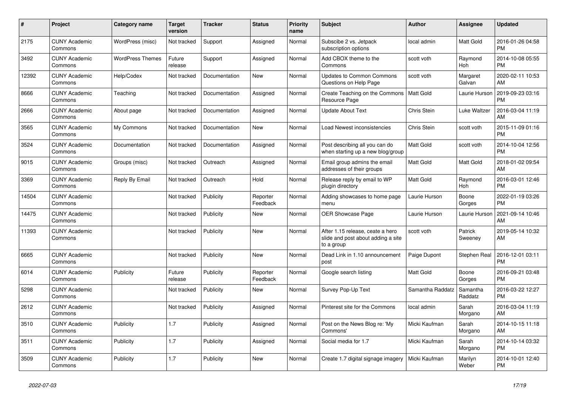| #     | Project                         | <b>Category name</b>    | <b>Target</b><br>version | <b>Tracker</b> | <b>Status</b>        | <b>Priority</b><br>name | <b>Subject</b>                                                                       | <b>Author</b>    | Assignee            | <b>Updated</b>                |
|-------|---------------------------------|-------------------------|--------------------------|----------------|----------------------|-------------------------|--------------------------------------------------------------------------------------|------------------|---------------------|-------------------------------|
| 2175  | <b>CUNY Academic</b><br>Commons | WordPress (misc)        | Not tracked              | Support        | Assigned             | Normal                  | Subscibe 2 vs. Jetpack<br>subscription options                                       | local admin      | <b>Matt Gold</b>    | 2016-01-26 04:58<br><b>PM</b> |
| 3492  | <b>CUNY Academic</b><br>Commons | <b>WordPress Themes</b> | Future<br>release        | Support        | Assigned             | Normal                  | Add CBOX theme to the<br>Commons                                                     | scott voth       | Raymond<br>Hoh      | 2014-10-08 05:55<br><b>PM</b> |
| 12392 | <b>CUNY Academic</b><br>Commons | Help/Codex              | Not tracked              | Documentation  | New                  | Normal                  | <b>Updates to Common Commons</b><br>Questions on Help Page                           | scott voth       | Margaret<br>Galvan  | 2020-02-11 10:53<br>AM        |
| 8666  | <b>CUNY Academic</b><br>Commons | Teaching                | Not tracked              | Documentation  | Assigned             | Normal                  | Create Teaching on the Commons<br>Resource Page                                      | <b>Matt Gold</b> | Laurie Hurson       | 2019-09-23 03:16<br><b>PM</b> |
| 2666  | <b>CUNY Academic</b><br>Commons | About page              | Not tracked              | Documentation  | Assigned             | Normal                  | <b>Update About Text</b>                                                             | Chris Stein      | Luke Waltzer        | 2016-03-04 11:19<br>AM        |
| 3565  | <b>CUNY Academic</b><br>Commons | My Commons              | Not tracked              | Documentation  | New                  | Normal                  | Load Newest inconsistencies                                                          | Chris Stein      | scott voth          | 2015-11-09 01:16<br><b>PM</b> |
| 3524  | <b>CUNY Academic</b><br>Commons | Documentation           | Not tracked              | Documentation  | Assigned             | Normal                  | Post describing all you can do<br>when starting up a new blog/group                  | <b>Matt Gold</b> | scott voth          | 2014-10-04 12:56<br><b>PM</b> |
| 9015  | <b>CUNY Academic</b><br>Commons | Groups (misc)           | Not tracked              | Outreach       | Assigned             | Normal                  | Email group admins the email<br>addresses of their groups                            | <b>Matt Gold</b> | Matt Gold           | 2018-01-02 09:54<br>AM        |
| 3369  | <b>CUNY Academic</b><br>Commons | Reply By Email          | Not tracked              | Outreach       | Hold                 | Normal                  | Release reply by email to WP<br>plugin directory                                     | Matt Gold        | Raymond<br>Hoh      | 2016-03-01 12:46<br><b>PM</b> |
| 14504 | <b>CUNY Academic</b><br>Commons |                         | Not tracked              | Publicity      | Reporter<br>Feedback | Normal                  | Adding showcases to home page<br>menu                                                | Laurie Hurson    | Boone<br>Gorges     | 2022-01-19 03:26<br><b>PM</b> |
| 14475 | <b>CUNY Academic</b><br>Commons |                         | Not tracked              | Publicity      | New                  | Normal                  | OER Showcase Page                                                                    | Laurie Hurson    | Laurie Hurson       | 2021-09-14 10:46<br>AM        |
| 11393 | <b>CUNY Academic</b><br>Commons |                         | Not tracked              | Publicity      | New                  | Normal                  | After 1.15 release, ceate a hero<br>slide and post about adding a site<br>to a group | scott voth       | Patrick<br>Sweeney  | 2019-05-14 10:32<br>AM        |
| 6665  | <b>CUNY Academic</b><br>Commons |                         | Not tracked              | Publicity      | <b>New</b>           | Normal                  | Dead Link in 1.10 announcement<br>post                                               | Paige Dupont     | Stephen Real        | 2016-12-01 03:11<br><b>PM</b> |
| 6014  | <b>CUNY Academic</b><br>Commons | Publicity               | Future<br>release        | Publicity      | Reporter<br>Feedback | Normal                  | Google search listing                                                                | Matt Gold        | Boone<br>Gorges     | 2016-09-21 03:48<br><b>PM</b> |
| 5298  | <b>CUNY Academic</b><br>Commons |                         | Not tracked              | Publicity      | New                  | Normal                  | Survey Pop-Up Text                                                                   | Samantha Raddatz | Samantha<br>Raddatz | 2016-03-22 12:27<br><b>PM</b> |
| 2612  | <b>CUNY Academic</b><br>Commons |                         | Not tracked              | Publicity      | Assigned             | Normal                  | Pinterest site for the Commons                                                       | local admin      | Sarah<br>Morgano    | 2016-03-04 11:19<br>AM        |
| 3510  | <b>CUNY Academic</b><br>Commons | Publicity               | 1.7                      | Publicity      | Assigned             | Normal                  | Post on the News Blog re: 'My<br>Commons'                                            | Micki Kaufman    | Sarah<br>Morgano    | 2014-10-15 11:18<br>AM        |
| 3511  | <b>CUNY Academic</b><br>Commons | Publicity               | 1.7                      | Publicity      | Assigned             | Normal                  | Social media for 1.7                                                                 | Micki Kaufman    | Sarah<br>Morgano    | 2014-10-14 03:32<br><b>PM</b> |
| 3509  | <b>CUNY Academic</b><br>Commons | Publicity               | 1.7                      | Publicity      | <b>New</b>           | Normal                  | Create 1.7 digital signage imagery                                                   | Micki Kaufman    | Marilyn<br>Weber    | 2014-10-01 12:40<br><b>PM</b> |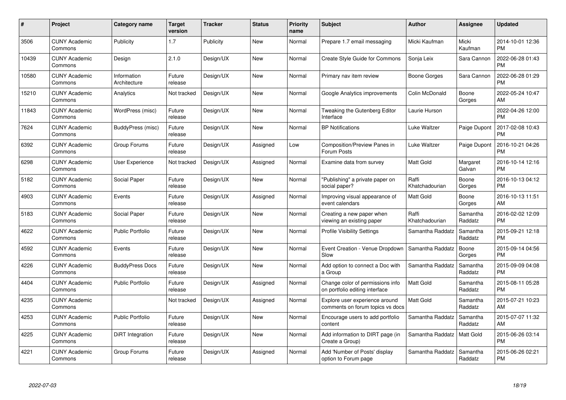| $\#$  | Project                         | <b>Category name</b>        | <b>Target</b><br>version | <b>Tracker</b> | <b>Status</b> | Priority<br>name | <b>Subject</b>                                                     | <b>Author</b>           | <b>Assignee</b>     | <b>Updated</b>                |
|-------|---------------------------------|-----------------------------|--------------------------|----------------|---------------|------------------|--------------------------------------------------------------------|-------------------------|---------------------|-------------------------------|
| 3506  | <b>CUNY Academic</b><br>Commons | Publicity                   | 1.7                      | Publicity      | <b>New</b>    | Normal           | Prepare 1.7 email messaging                                        | Micki Kaufman           | Micki<br>Kaufman    | 2014-10-01 12:36<br><b>PM</b> |
| 10439 | <b>CUNY Academic</b><br>Commons | Design                      | 2.1.0                    | Design/UX      | <b>New</b>    | Normal           | Create Style Guide for Commons                                     | Sonja Leix              | Sara Cannon         | 2022-06-28 01:43<br><b>PM</b> |
| 10580 | <b>CUNY Academic</b><br>Commons | Information<br>Architecture | Future<br>release        | Design/UX      | <b>New</b>    | Normal           | Primary nav item review                                            | Boone Gorges            | Sara Cannon         | 2022-06-28 01:29<br><b>PM</b> |
| 15210 | <b>CUNY Academic</b><br>Commons | Analytics                   | Not tracked              | Design/UX      | <b>New</b>    | Normal           | Google Analytics improvements                                      | Colin McDonald          | Boone<br>Gorges     | 2022-05-24 10:47<br>AM        |
| 11843 | <b>CUNY Academic</b><br>Commons | WordPress (misc)            | Future<br>release        | Design/UX      | <b>New</b>    | Normal           | Tweaking the Gutenberg Editor<br>Interface                         | Laurie Hurson           |                     | 2022-04-26 12:00<br><b>PM</b> |
| 7624  | <b>CUNY Academic</b><br>Commons | BuddyPress (misc)           | Future<br>release        | Design/UX      | New           | Normal           | <b>BP</b> Notifications                                            | Luke Waltzer            | Paige Dupont        | 2017-02-08 10:43<br><b>PM</b> |
| 6392  | <b>CUNY Academic</b><br>Commons | Group Forums                | Future<br>release        | Design/UX      | Assigned      | Low              | Composition/Preview Panes in<br>Forum Posts                        | Luke Waltzer            | Paige Dupont        | 2016-10-21 04:26<br><b>PM</b> |
| 6298  | <b>CUNY Academic</b><br>Commons | User Experience             | Not tracked              | Design/UX      | Assigned      | Normal           | Examine data from survey                                           | <b>Matt Gold</b>        | Margaret<br>Galvan  | 2016-10-14 12:16<br><b>PM</b> |
| 5182  | <b>CUNY Academic</b><br>Commons | Social Paper                | Future<br>release        | Design/UX      | New           | Normal           | "Publishing" a private paper on<br>social paper?                   | Raffi<br>Khatchadourian | Boone<br>Gorges     | 2016-10-13 04:12<br><b>PM</b> |
| 4903  | <b>CUNY Academic</b><br>Commons | Events                      | Future<br>release        | Design/UX      | Assigned      | Normal           | Improving visual appearance of<br>event calendars                  | Matt Gold               | Boone<br>Gorges     | 2016-10-13 11:51<br>AM        |
| 5183  | <b>CUNY Academic</b><br>Commons | Social Paper                | Future<br>release        | Design/UX      | New           | Normal           | Creating a new paper when<br>viewing an existing paper             | Raffi<br>Khatchadourian | Samantha<br>Raddatz | 2016-02-02 12:09<br><b>PM</b> |
| 4622  | <b>CUNY Academic</b><br>Commons | <b>Public Portfolio</b>     | Future<br>release        | Design/UX      | New           | Normal           | <b>Profile Visibility Settings</b>                                 | Samantha Raddatz        | Samantha<br>Raddatz | 2015-09-21 12:18<br><b>PM</b> |
| 4592  | <b>CUNY Academic</b><br>Commons | Events                      | Future<br>release        | Design/UX      | New           | Normal           | Event Creation - Venue Dropdown<br>Slow                            | Samantha Raddatz        | Boone<br>Gorges     | 2015-09-14 04:56<br><b>PM</b> |
| 4226  | <b>CUNY Academic</b><br>Commons | <b>BuddyPress Docs</b>      | Future<br>release        | Design/UX      | New           | Normal           | Add option to connect a Doc with<br>a Group                        | Samantha Raddatz        | Samantha<br>Raddatz | 2015-09-09 04:08<br><b>PM</b> |
| 4404  | <b>CUNY Academic</b><br>Commons | <b>Public Portfolio</b>     | Future<br>release        | Design/UX      | Assigned      | Normal           | Change color of permissions info<br>on portfolio editing interface | Matt Gold               | Samantha<br>Raddatz | 2015-08-11 05:28<br><b>PM</b> |
| 4235  | <b>CUNY Academic</b><br>Commons |                             | Not tracked              | Design/UX      | Assigned      | Normal           | Explore user experience around<br>comments on forum topics vs docs | Matt Gold               | Samantha<br>Raddatz | 2015-07-21 10:23<br>AM        |
| 4253  | <b>CUNY Academic</b><br>Commons | <b>Public Portfolio</b>     | Future<br>release        | Design/UX      | New           | Normal           | Encourage users to add portfolio<br>content                        | Samantha Raddatz        | Samantha<br>Raddatz | 2015-07-07 11:32<br>AM        |
| 4225  | <b>CUNY Academic</b><br>Commons | DiRT Integration            | Future<br>release        | Design/UX      | New           | Normal           | Add information to DIRT page (in<br>Create a Group)                | Samantha Raddatz        | Matt Gold           | 2015-06-26 03:14<br><b>PM</b> |
| 4221  | <b>CUNY Academic</b><br>Commons | Group Forums                | Future<br>release        | Design/UX      | Assigned      | Normal           | Add 'Number of Posts' display<br>option to Forum page              | Samantha Raddatz        | Samantha<br>Raddatz | 2015-06-26 02:21<br><b>PM</b> |